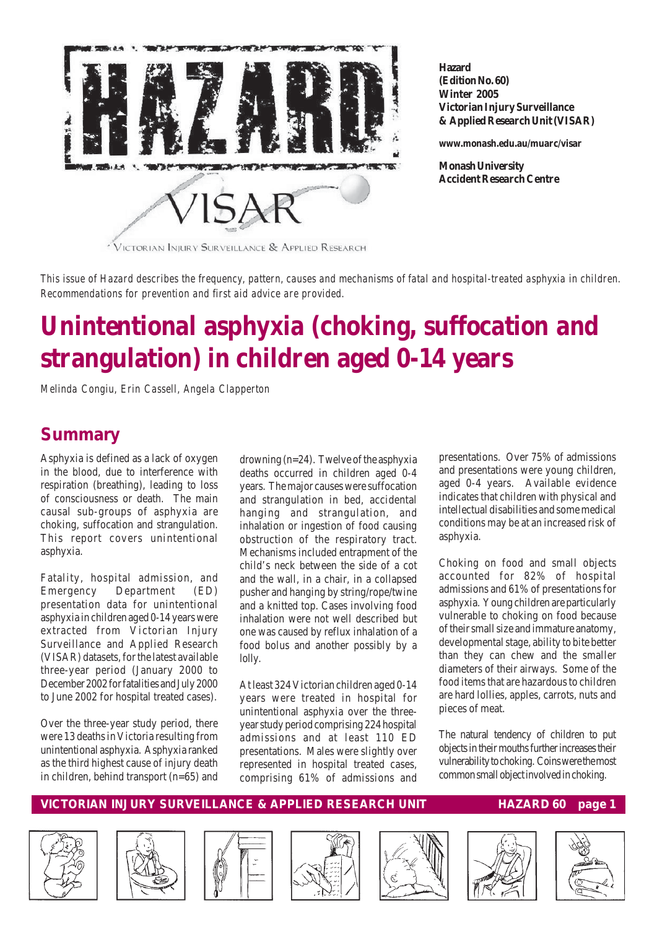

**Hazard (Edition No. 60) Winter 2005 Victorian Injury Surveillance & Applied Research Unit (VISAR)**

**www.monash.edu.au/muarc/visar**

**Monash University Accident Research Centre**

*This issue of Hazard describes the frequency, pattern, causes and mechanisms of fatal and hospital-treated asphyxia in children. Recommendations for prevention and first aid advice are provided.*

# **Unintentional asphyxia (choking, suffocation and strangulation) in children aged 0-14 years**

*Melinda Congiu, Erin Cassell, Angela Clapperton*

## **Summary**

Asphyxia is defined as a lack of oxygen in the blood, due to interference with respiration (breathing), leading to loss of consciousness or death. The main causal sub-groups of asphyxia are choking, suffocation and strangulation. This report covers unintentional asphyxia.

Fatality, hospital admission, and Emergency Department (ED) presentation data for unintentional asphyxia in children aged 0-14 years were extracted from Victorian Injury Surveillance and Applied Research (VISAR) datasets, for the latest available three-year period (January 2000 to December 2002 for fatalities and July 2000 to June 2002 for hospital treated cases).

Over the three-year study period, there were 13 deaths in Victoria resulting from unintentional asphyxia. Asphyxia ranked as the third highest cause of injury death in children, behind transport (n=65) and

drowning (n=24). Twelve of the asphyxia deaths occurred in children aged 0-4 years. The major causes were suffocation and strangulation in bed, accidental hanging and strangulation, and inhalation or ingestion of food causing obstruction of the respiratory tract. Mechanisms included entrapment of the child's neck between the side of a cot and the wall, in a chair, in a collapsed pusher and hanging by string/rope/twine and a knitted top. Cases involving food inhalation were not well described but one was caused by reflux inhalation of a food bolus and another possibly by a lolly.

At least 324 Victorian children aged 0-14 years were treated in hospital for unintentional asphyxia over the threeyear study period comprising 224 hospital admissions and at least 110 ED presentations. Males were slightly over represented in hospital treated cases, comprising 61% of admissions and

presentations. Over 75% of admissions and presentations were young children, aged 0-4 years. Available evidence indicates that children with physical and intellectual disabilities and some medical conditions may be at an increased risk of asphyxia.

Choking on food and small objects accounted for 82% of hospital admissions and 61% of presentations for asphyxia. Young children are particularly vulnerable to choking on food because of their small size and immature anatomy, developmental stage, ability to bite better than they can chew and the smaller diameters of their airways. Some of the food items that are hazardous to children are hard lollies, apples, carrots, nuts and pieces of meat.

The natural tendency of children to put objects in their mouths further increases their vulnerability to choking. Coins were the most common small object involved in choking.











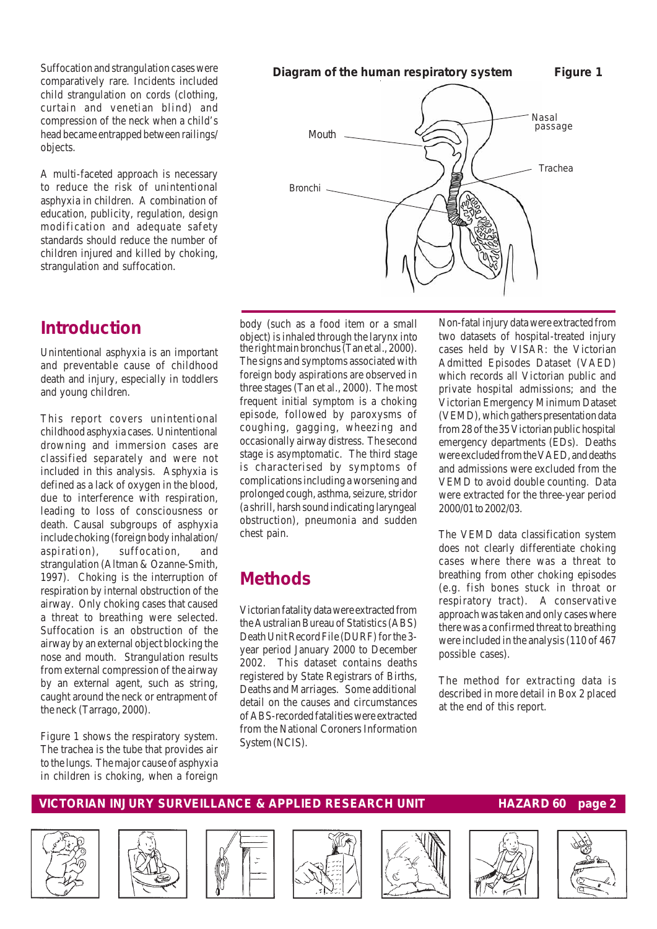Suffocation and strangulation cases were comparatively rare. Incidents included child strangulation on cords (clothing, curtain and venetian blind) and compression of the neck when a child's head became entrapped between railings/ objects.

A multi-faceted approach is necessary to reduce the risk of unintentional asphyxia in children. A combination of education, publicity, regulation, design modification and adequate safety standards should reduce the number of children injured and killed by choking, strangulation and suffocation.

## **Introduction**

Unintentional asphyxia is an important and preventable cause of childhood death and injury, especially in toddlers and young children.

This report covers unintentional childhood asphyxia cases. Unintentional drowning and immersion cases are classified separately and were not included in this analysis. Asphyxia is defined as a lack of oxygen in the blood, due to interference with respiration, leading to loss of consciousness or death. Causal subgroups of asphyxia include choking (foreign body inhalation/ aspiration), suffocation, and strangulation (Altman & Ozanne-Smith, 1997). Choking is the interruption of respiration by internal obstruction of the airway. Only choking cases that caused a threat to breathing were selected. Suffocation is an obstruction of the airway by an external object blocking the nose and mouth. Strangulation results from external compression of the airway by an external agent, such as string, caught around the neck or entrapment of the neck (Tarrago, 2000).

Figure 1 shows the respiratory system. The trachea is the tube that provides air to the lungs. The major cause of asphyxia in children is choking, when a foreign

#### **Diagram of the human respiratory system Figure 1**



the right main bronchus (Tan et al., 2000). The signs and symptoms associated with foreign body aspirations are observed in three stages (Tan et al., 2000). The most frequent initial symptom is a choking episode, followed by paroxysms of coughing, gagging, wheezing and occasionally airway distress. The second stage is asymptomatic. The third stage is characterised by symptoms of complications including a worsening and prolonged cough, asthma, seizure, stridor (a shrill, harsh sound indicating laryngeal obstruction), pneumonia and sudden chest pain. body (such as a food item or a small object) is inhaled through the larynx into

## **Methods**

Victorian fatality data were extracted from the Australian Bureau of Statistics (ABS) Death Unit Record File (DURF) for the 3 year period January 2000 to December 2002. This dataset contains deaths registered by State Registrars of Births, Deaths and Marriages. Some additional detail on the causes and circumstances of ABS-recorded fatalities were extracted from the National Coroners Information System (NCIS).

Non-fatal injury data were extracted from two datasets of hospital-treated injury cases held by VISAR: the Victorian Admitted Episodes Dataset (VAED) which records all Victorian public and private hospital admissions; and the Victorian Emergency Minimum Dataset (VEMD), which gathers presentation data from 28 of the 35 Victorian public hospital emergency departments (EDs). Deaths were excluded from the VAED, and deaths and admissions were excluded from the VEMD to avoid double counting. Data were extracted for the three-year period 2000/01 to 2002/03.

The VEMD data classification system does not clearly differentiate choking cases where there was a threat to breathing from other choking episodes (e.g. fish bones stuck in throat or respiratory tract). A conservative approach was taken and only cases where there was a confirmed threat to breathing were included in the analysis (110 of 467 possible cases).

The method for extracting data is described in more detail in Box 2 placed at the end of this report.













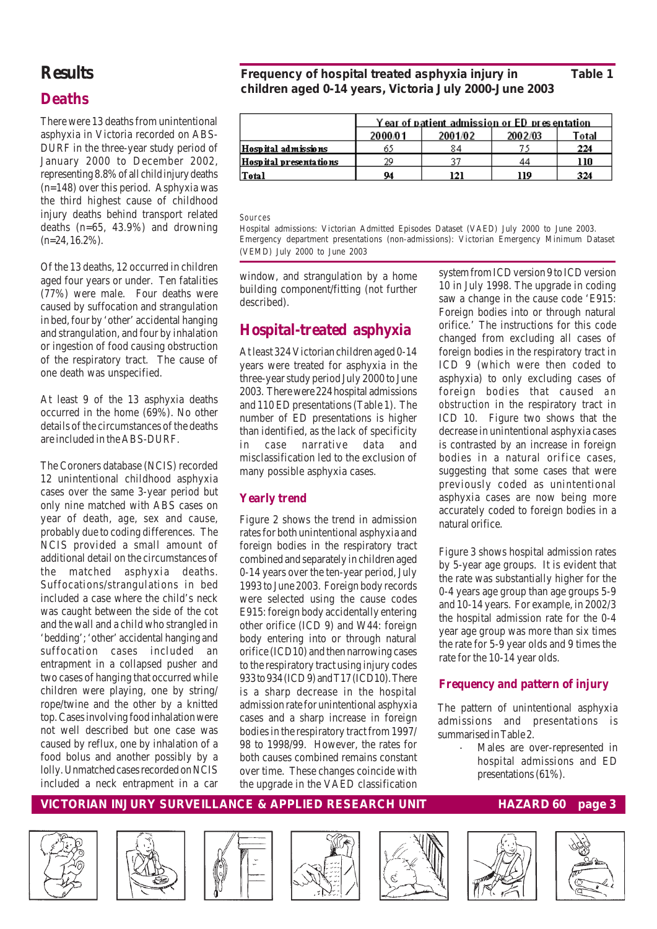## **Results**

### **Deaths**

There were 13 deaths from unintentional asphyxia in Victoria recorded on ABS-DURF in the three-year study period of January 2000 to December 2002, representing 8.8% of all child injury deaths (n=148) over this period. Asphyxia was the third highest cause of childhood injury deaths behind transport related deaths (n=65, 43.9%) and drowning  $(n=24, 16.2\%)$ .

Of the 13 deaths, 12 occurred in children aged four years or under. Ten fatalities (77%) were male. Four deaths were caused by suffocation and strangulation in bed, four by 'other' accidental hanging and strangulation, and four by inhalation or ingestion of food causing obstruction of the respiratory tract. The cause of one death was unspecified.

At least 9 of the 13 asphyxia deaths occurred in the home (69%). No other details of the circumstances of the deaths are included in the ABS-DURF.

The Coroners database (NCIS) recorded 12 unintentional childhood asphyxia cases over the same 3-year period but only nine matched with ABS cases on year of death, age, sex and cause, probably due to coding differences. The NCIS provided a small amount of additional detail on the circumstances of the matched asphyxia deaths. Suffocations/strangulations in bed included a case where the child's neck was caught between the side of the cot and the wall and a child who strangled in 'bedding'; 'other' accidental hanging and suffocation cases included an entrapment in a collapsed pusher and two cases of hanging that occurred while children were playing, one by string/ rope/twine and the other by a knitted top. Cases involving food inhalation were not well described but one case was caused by reflux, one by inhalation of a food bolus and another possibly by a lolly. Unmatched cases recorded on NCIS included a neck entrapment in a car

#### **Frequency of hospital treated asphyxia injury in Table 1 children aged 0-14 years, Victoria July 2000-June 2003**

|                        | <u>Year of patient admission or ED presentation</u> |         |         |       |
|------------------------|-----------------------------------------------------|---------|---------|-------|
|                        | 2000/01                                             | 2001/02 | 2002/03 | Total |
| Hospital admissions    | 63                                                  | 84      |         | 224   |
| Hospital presentations | 29                                                  |         | 44      | 110   |
| Total                  | 94                                                  | 121     | 119     | 324   |

#### *Sources*

Hospital admissions: Victorian Admitted Episodes Dataset (VAED) July 2000 to June 2003. Emergency department presentations (non-admissions): Victorian Emergency Minimum Dataset (VEMD) July 2000 to June 2003

window, and strangulation by a home building component/fitting (not further described).

### **Hospital-treated asphyxia**

At least 324 Victorian children aged 0-14 years were treated for asphyxia in the three-year study period July 2000 to June 2003. There were 224 hospital admissions and 110 ED presentations (Table 1). The number of ED presentations is higher than identified, as the lack of specificity in case narrative data and misclassification led to the exclusion of many possible asphyxia cases.

#### **Yearly trend**

Figure 2 shows the trend in admission rates for both unintentional asphyxia and foreign bodies in the respiratory tract combined and separately in children aged 0-14 years over the ten-year period, July 1993 to June 2003. Foreign body records were selected using the cause codes E915: foreign body accidentally entering other orifice (ICD 9) and W44: foreign body entering into or through natural orifice (ICD10) and then narrowing cases to the respiratory tract using injury codes 933 to 934 (ICD 9) and T17 (ICD10). There is a sharp decrease in the hospital admission rate for unintentional asphyxia cases and a sharp increase in foreign bodies in the respiratory tract from 1997/ 98 to 1998/99. However, the rates for both causes combined remains constant over time. These changes coincide with the upgrade in the VAED classification system from ICD version 9 to ICD version 10 in July 1998. The upgrade in coding saw a change in the cause code 'E915: Foreign bodies into or through natural orifice.' The instructions for this code changed from excluding all cases of foreign bodies in the respiratory tract in ICD 9 (which were then coded to asphyxia) to only excluding cases of foreign bodies that caused *an obstruction* in the respiratory tract in ICD 10. Figure two shows that the decrease in unintentional asphyxia cases is contrasted by an increase in foreign bodies in a natural orifice cases, suggesting that some cases that were previously coded as unintentional asphyxia cases are now being more accurately coded to foreign bodies in a natural orifice.

Figure 3 shows hospital admission rates by 5-year age groups. It is evident that the rate was substantially higher for the 0-4 years age group than age groups 5-9 and 10-14 years. For example, in 2002/3 the hospital admission rate for the 0-4 year age group was more than six times the rate for 5-9 year olds and 9 times the rate for the 10-14 year olds.

#### **Frequency and pattern of injury**

The pattern of unintentional asphyxia admissions and presentations is summarised in Table 2.

> Males are over-represented in hospital admissions and ED presentations (61%).













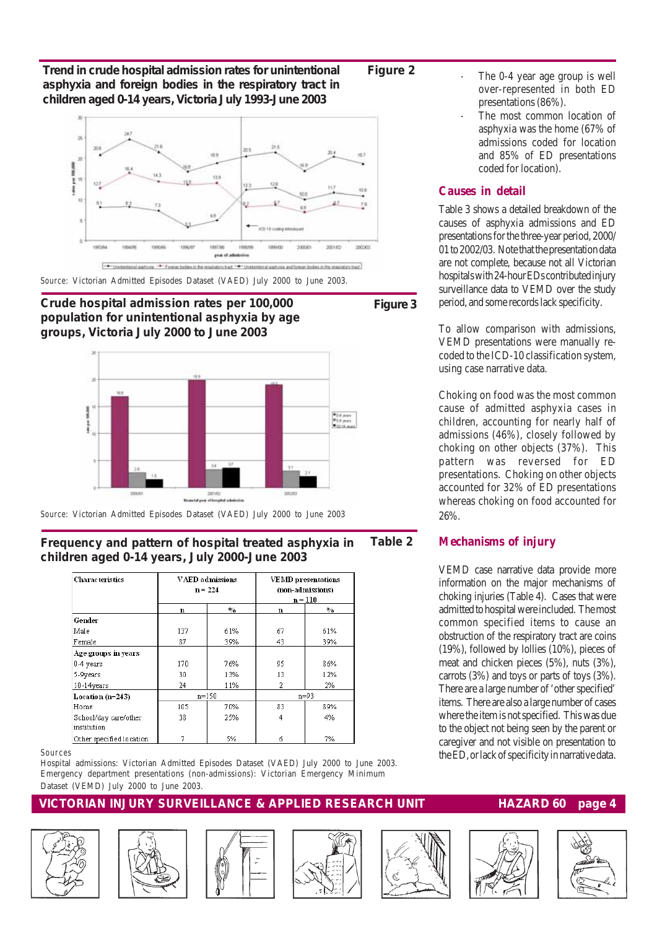**Trend in crude hospital admission rates for unintentional asphyxia and foreign bodies in the respiratory tract in children aged 0-14 years, Victoria July 1993-June 2003**



*Source*: Victorian Admitted Episodes Dataset (VAED) July 2000 to June 2003.

**Crude hospital admission rates per 100,000 population for unintentional asphyxia by age** . **groups, Victoria July 2000 to June 2003**

*Source*: Victorian Admitted Episodes Dataset (VAED) July 2000 to June 2003

#### **Frequency and pattern of hospital treated asphyxia in children aged 0-14 years, July 2000-June 2003 Table 2**

| <b>Characteristics</b>               | <b>VAED</b> admissions<br>$n = 224$ |               | <b>VEMD</b> presentations<br>(non-admissions)<br>n = 110 |               |  |
|--------------------------------------|-------------------------------------|---------------|----------------------------------------------------------|---------------|--|
|                                      | n                                   | $\frac{0}{0}$ | n                                                        | $\frac{0}{0}$ |  |
| Gender                               |                                     |               |                                                          |               |  |
| Male                                 | 137                                 | 61%           | 67                                                       | 61%           |  |
| Female                               | 87                                  | 39%           | 43                                                       | 39%           |  |
| Age groups in years                  |                                     |               |                                                          |               |  |
| 0-4 years                            | 170                                 | 76%           | 95                                                       | 86%           |  |
| 5-9years                             | 30                                  | 13%           | 13                                                       | 12%           |  |
| 10-14years                           | 24                                  | 11%           | 2                                                        | 2%            |  |
| Location $(n=243)$                   | $n=150$                             |               |                                                          | $n = 93$      |  |
| Home                                 | 105                                 | 70%           | 83                                                       | 89%           |  |
| School/day care/other<br>institution | 38                                  | 25%           | 4                                                        | 4%            |  |
| Other specified location             |                                     | 5%            | 6                                                        | 7%            |  |

#### *Sources*

Hospital admissions: Victorian Admitted Episodes Dataset (VAED) July 2000 to June 2003. Emergency department presentations (non-admissions): Victorian Emergency Minimum Dataset (VEMD) July 2000 to June 2003.

#### **VICTORIAN INJURY SURVEILLANCE & APPLIED RESEARCH UNIT HAZARD 60 page 4**















- The 0-4 year age group is well over-represented in both ED presentations (86%).
- The most common location of asphyxia was the home (67% of admissions coded for location and 85% of ED presentations coded for location).

#### **Causes in detail**

Table 3 shows a detailed breakdown of the causes of asphyxia admissions and ED presentations for the three-year period, 2000/ 01 to 2002/03. Note that the presentation data are not complete, because not all Victorian hospitals with 24-hour EDs contributed injury surveillance data to VEMD over the study period, and some records lack specificity.

To allow comparison with admissions, VEMD presentations were manually recoded to the ICD-10 classification system, using case narrative data.

Choking on food was the most common cause of admitted asphyxia cases in children, accounting for nearly half of admissions (46%), closely followed by choking on other objects (37%). This pattern was reversed for ED presentations. Choking on other objects accounted for 32% of ED presentations whereas choking on food accounted for 26%.

#### **Mechanisms of injury**

VEMD case narrative data provide more information on the major mechanisms of choking injuries (Table 4). Cases that were admitted to hospital were included. The most common specified items to cause an obstruction of the respiratory tract are coins (19%), followed by lollies (10%), pieces of meat and chicken pieces (5%), nuts (3%), carrots (3%) and toys or parts of toys (3%). There are a large number of 'other specified' items. There are also a large number of cases where the item is not specified. This was due to the object not being seen by the parent or caregiver and not visible on presentation to the ED, or lack of specificity in narrative data.

#### **Figure 2**

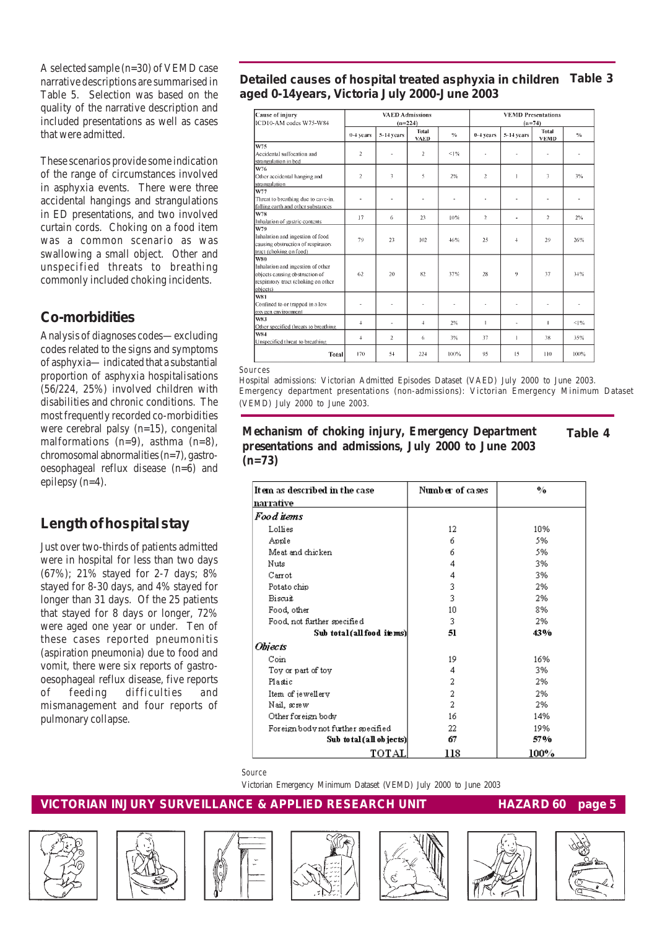A selected sample (n=30) of VEMD case narrative descriptions are summarised in Table 5. Selection was based on the quality of the narrative description and included presentations as well as cases that were admitted.

These scenarios provide some indication of the range of circumstances involved in asphyxia events. There were three accidental hangings and strangulations in ED presentations, and two involved curtain cords. Choking on a food item was a common scenario as was swallowing a small object. Other and unspecified threats to breathing commonly included choking incidents.

### **Co-morbidities**

Analysis of diagnoses codes—excluding codes related to the signs and symptoms of asphyxia— indicated that a substantial proportion of asphyxia hospitalisations (56/224, 25%) involved children with disabilities and chronic conditions. The most frequently recorded co-morbidities were cerebral palsy (n=15), congenital malformations  $(n=9)$ , asthma  $(n=8)$ , chromosomal abnormalities (n=7), gastrooesophageal reflux disease (n=6) and epilepsy (n=4).

## **Length of hospital stay**

Just over two-thirds of patients admitted were in hospital for less than two days (67%); 21% stayed for 2-7 days; 8% stayed for 8-30 days, and 4% stayed for longer than 31 days. Of the 25 patients that stayed for 8 days or longer, 72% were aged one year or under. Ten of these cases reported pneumonitis (aspiration pneumonia) due to food and vomit, there were six reports of gastrooesophageal reflux disease, five reports of feeding difficulties and mismanagement and four reports of pulmonary collapse.

**Table 3 Detailed causes of hospital treated asphyxia in children aged 0-14years, Victoria July 2000-June 2003**

| Cause of injury<br>ICD10-AM codes W75-W84          | <b>VAED Admissions</b><br>$(n=224)$ |                |                             | <b>VEMD Presentations</b><br>$(n=74)$ |                |              |                             |               |
|----------------------------------------------------|-------------------------------------|----------------|-----------------------------|---------------------------------------|----------------|--------------|-----------------------------|---------------|
|                                                    | 0-4 vears                           | 5-14 years     | <b>Total</b><br><b>VAED</b> | $\frac{6}{6}$                         | 0-4 years      | 5-14 years   | <b>Total</b><br><b>VEMD</b> | $\frac{1}{2}$ |
| W75                                                |                                     |                |                             |                                       |                |              |                             |               |
| Accidental suffocation and<br>strangulation in bed | $\mathbf{2}$                        |                | $\overline{2}$              | $1\%$                                 | ٠              |              |                             |               |
| W76                                                |                                     |                |                             |                                       |                |              |                             |               |
| Other accidental hanging and                       | $\overline{2}$                      | 3              | 5                           | 2%                                    | $\overline{c}$ | $\mathbf{1}$ | 3                           | 3%            |
| strangulation                                      |                                     |                |                             |                                       |                |              |                             |               |
| W77                                                |                                     |                |                             |                                       |                |              |                             |               |
| Threat to breathing due to cave-in.                |                                     |                | ٠                           |                                       |                |              |                             |               |
| falling earth and other substances<br><b>W78</b>   |                                     |                |                             |                                       |                |              |                             |               |
| Inhalation of gastric contents                     | 17                                  | 6              | 23                          | 10%                                   | $\overline{2}$ | ٠            | $\mathfrak{p}$              | 2%            |
| W79                                                |                                     |                |                             |                                       |                |              |                             |               |
| Inhalation and ingestion of food                   |                                     |                |                             |                                       |                |              |                             |               |
| causing obstruction of respiratory                 | 79                                  | 23             | 102                         | 46%                                   | 2.5            | 4            | 29                          | 26%           |
| tract (choking on food)                            |                                     |                |                             |                                       |                |              |                             |               |
| lwso                                               |                                     |                |                             |                                       |                |              |                             |               |
| Inhalation and ingestion of other                  |                                     |                |                             |                                       |                |              |                             |               |
| objects causing obstruction of                     | 62                                  | 20             | 82                          | 37%                                   | 28             | 9            | 37                          | 34%           |
| respiratory tract (choking on other                |                                     |                |                             |                                       |                |              |                             |               |
| objects)                                           |                                     |                |                             |                                       |                |              |                             |               |
| <b>W81</b>                                         |                                     |                |                             |                                       |                |              |                             |               |
| Confined to or trapped in a low                    | ٠                                   | ä,             | ä,                          | ٠                                     | ×              | ٠            | $\overline{\phantom{a}}$    |               |
| oxygen environment<br>W83                          |                                     |                |                             |                                       |                |              |                             |               |
| Other specified threats to breathing               | $\ddot{\phantom{1}}$                | ä,             | 4                           | 2%                                    | $\mathbf{1}$   | ä,           | 1                           | <1%           |
| lws4                                               |                                     |                |                             |                                       |                |              |                             |               |
| Unspecified threat to breathing                    | $\ddot{\phantom{1}}$                | $\overline{2}$ | 6                           | 3%                                    | 37             | $\mathbf{I}$ | 38                          | 35%           |
| Total                                              | 170                                 | 54             | 224                         | 100%                                  | 95             | 15           | 110                         | 100%          |

*Sources*

I r J

Hospital admissions: Victorian Admitted Episodes Dataset (VAED) July 2000 to June 2003. Emergency department presentations (non-admissions): Victorian Emergency Minimum Dataset (VEMD) July 2000 to June 2003.

#### **Mechanism of choking injury, Emergency Department Table 4 presentations and admissions, July 2000 to June 2003 (n=73)**

| tem as described in the case        | Number of cases | $\mathbf{v}_0$ |
|-------------------------------------|-----------------|----------------|
| arrative                            |                 |                |
| <sup>F</sup> oo d items             |                 |                |
| Lollies                             | 12              | 10%            |
| Apple                               | 6               | 5%             |
| Meat and chicken                    | 6               | 5%             |
| Nuts                                | 4               | 3%             |
| Carrot                              | 4               | 3%             |
| Potato chip                         | 3               | 2%             |
| Biscuit                             | 3               | 2%             |
| Food, other                         | 10              | 8%             |
| Food, not further specified         | 3               | 2%             |
| Sub total (all food in ms)          | 51              | 43%            |
| Dhjects                             |                 |                |
| $_{\rm Coin}$                       | 19              | 16%            |
| Toy or part of toy                  | 4               | 3%             |
| Plastic                             | 2               | 2%             |
| Item of jewellery                   | 2               | 2%             |
| Nail, screw                         | 2               | 2%             |
| Other foreign body                  | 16              | 14%            |
| Foreign body not further specified. | 22              | 19%            |
| Sub to tal (all ob jects)           | 67              | 57%            |
| ТОТАЈ.                              | 118             | 100%           |



ł

Victorian Emergency Minimum Dataset (VEMD) July 2000 to June 2003











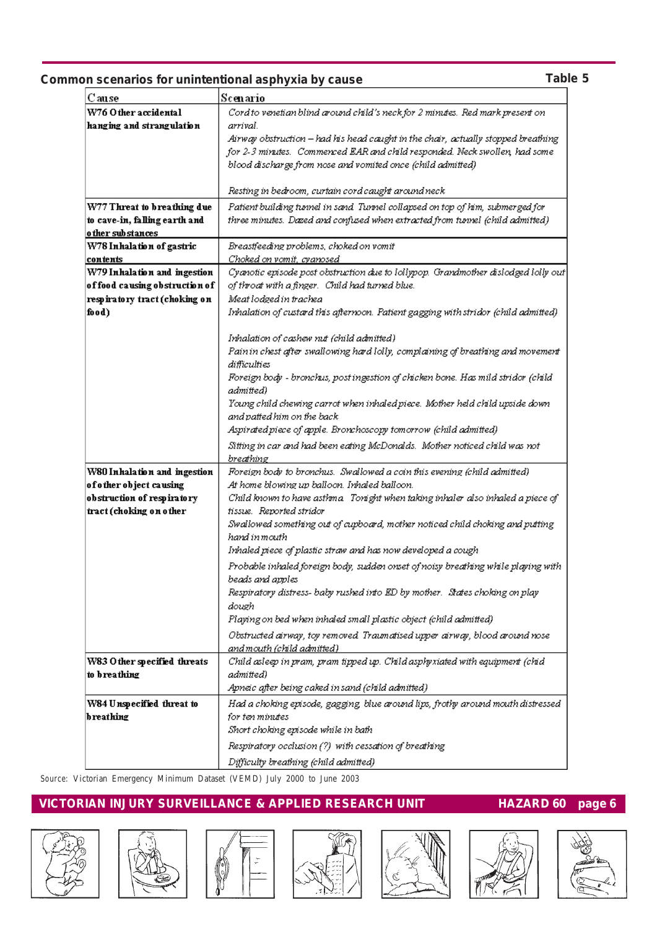#### **Common scenarios for unintentional asphyxia by cause**

| Cause                          | Scenario                                                                                         |  |  |
|--------------------------------|--------------------------------------------------------------------------------------------------|--|--|
| W76 Other accidental           | Cord to venetian blind around child's neck for 2 minutes. Red mark present on                    |  |  |
| hanging and strangulation      | arrival.                                                                                         |  |  |
|                                | Airway obstruction – had his head caught in the chair, actually stopped breathing                |  |  |
|                                | for 2-3 minutes. Commenced EAR and child responded. Neck swollen, had some                       |  |  |
|                                | blood discharge from nose and vomited once (child admitted)                                      |  |  |
|                                |                                                                                                  |  |  |
|                                | Resting in bedroom, curtain cord caught around neck                                              |  |  |
| W77 Threat to breathing due    | Patient building tunnel in sand. Tunnel collapsed on top of him, submerged for                   |  |  |
| to cave-in, falling earth and  | three minutes. Dazed and confused when extracted from tunnel (child admitted)                    |  |  |
| o ther substances              |                                                                                                  |  |  |
| W78 Inhalation of gastric      | Breastfeeding problems, choked on vomit                                                          |  |  |
| contents                       | C'hoked on vomit, cyanosed                                                                       |  |  |
| W79 Inhalation and ingestion   | Cyanotic episode post obstruction due to lollypop. Grandmother dislodged lolly out               |  |  |
| of food causing obstruction of | of throat with a finger. Child had turned blue.                                                  |  |  |
| respiratory tract (choking on  | Meat lodged in trachea                                                                           |  |  |
| food)                          | Inhalation of custard this afternoon. Patient gagging with stridor (child admitted)              |  |  |
|                                | Inhalation of cashew nut (child admitted)                                                        |  |  |
|                                |                                                                                                  |  |  |
|                                | Pain in chest after swallowing hard lolly, complaining of breathing and movement<br>difficulties |  |  |
|                                | Foreign body - bronchus, post ingestion of chicken bone. Has mild stridor (child                 |  |  |
|                                | admitted)                                                                                        |  |  |
|                                | Young child chewing carrot when inhaled piece. Mother held child upside down                     |  |  |
|                                | and patted him on the back                                                                       |  |  |
|                                | Aspirated piece of apple. Bronchoscopy tomorrow (child admitted)                                 |  |  |
|                                | Sitting in car and had been eating McDonalds. Mother noticed child was not                       |  |  |
|                                | breathing                                                                                        |  |  |
| W80 Inhalation and ingestion   | Foreign body to bronchus. Swallowed a coin this evening (child admitted)                         |  |  |
| of other object causing        | At home blowing up balloon. Inhaled balloon.                                                     |  |  |
| obstruction of respiratory     | C'hild known to have asthma Tonight when taking inhaler also inhaled a piece of                  |  |  |
| tract (choking on other        | tissue.  Reported stridor                                                                        |  |  |
|                                | Swallowed something out of cupboard, mother noticed child choking and putting                    |  |  |
|                                | hand in meuth                                                                                    |  |  |
|                                | Inhaled piece of plastic straw and has now developed a cough                                     |  |  |
|                                | Probable inhaled foreign body, sudden onset of noisy breathing while playing with                |  |  |
|                                | beads and apples                                                                                 |  |  |
|                                | Respiratory distress- baby rushed into ED by mother. States choking on play                      |  |  |
|                                | dough                                                                                            |  |  |
|                                | Playing on bed when inhaled small plastic object (child admitted)                                |  |  |
|                                | Obstructed airway, toy removed. Traumatised upper airway, blood around nose                      |  |  |
|                                | <u>and mouth (child admitted)</u>                                                                |  |  |
| W83 Other specified threats    | C'hild asleep in pram, pram tipped up. C'hild asphyxiated with equipment (chid                   |  |  |
| to breathing                   | admitted)                                                                                        |  |  |
|                                | Apneic after being caked in sand (child admitted)                                                |  |  |
| W84 Unspecified threat to      | Had a choking episode, gagging, blue around lips, frothy around mouth distressed                 |  |  |
| b reathing                     | for ten minutes                                                                                  |  |  |
|                                | Short choking episode while in bath                                                              |  |  |
|                                | Respiratory occlusion (?) with cessation of breathing                                            |  |  |
|                                | Difficulty breathing (child admitted)                                                            |  |  |
|                                |                                                                                                  |  |  |

*Source:* Victorian Emergency Minimum Dataset (VEMD) July 2000 to June 2003













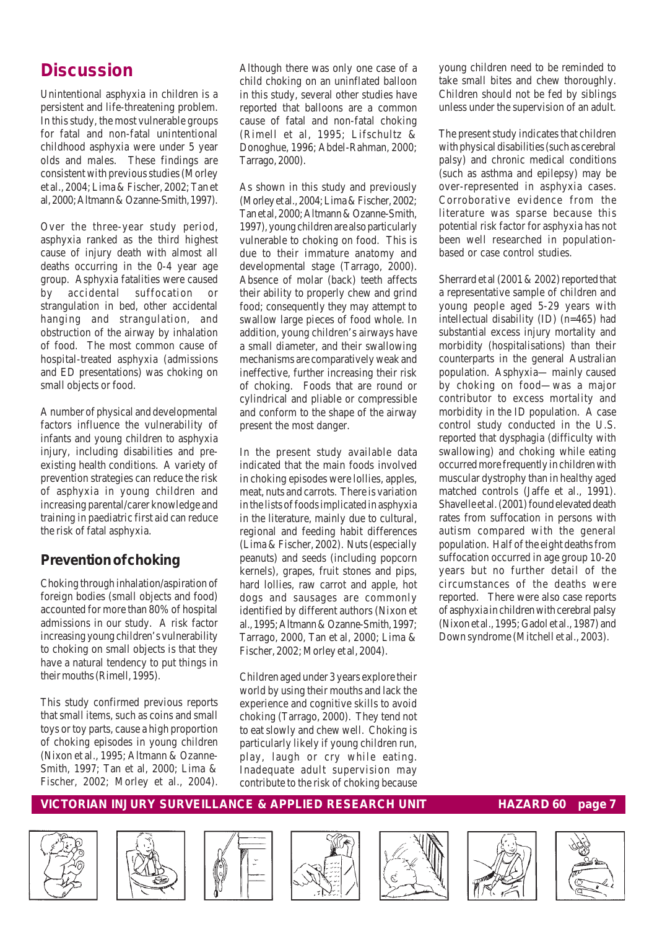## **Discussion**

Unintentional asphyxia in children is a persistent and life-threatening problem. In this study, the most vulnerable groups for fatal and non-fatal unintentional childhood asphyxia were under 5 year olds and males. These findings are consistent with previous studies (Morley et al., 2004; Lima & Fischer, 2002; Tan et al, 2000; Altmann & Ozanne-Smith, 1997).

Over the three-year study period, asphyxia ranked as the third highest cause of injury death with almost all deaths occurring in the 0-4 year age group. Asphyxia fatalities were caused by accidental suffocation or strangulation in bed, other accidental hanging and strangulation, and obstruction of the airway by inhalation of food. The most common cause of hospital-treated asphyxia (admissions and ED presentations) was choking on small objects or food.

A number of physical and developmental factors influence the vulnerability of infants and young children to asphyxia injury, including disabilities and preexisting health conditions. A variety of prevention strategies can reduce the risk of asphyxia in young children and increasing parental/carer knowledge and training in paediatric first aid can reduce the risk of fatal asphyxia.

## *Prevention of choking*

Choking through inhalation/aspiration of foreign bodies (small objects and food) accounted for more than 80% of hospital admissions in our study. A risk factor increasing young children's vulnerability to choking on small objects is that they have a natural tendency to put things in their mouths (Rimell, 1995).

This study confirmed previous reports that small items, such as coins and small toys or toy parts, cause a high proportion of choking episodes in young children (Nixon et al., 1995; Altmann & Ozanne-Smith, 1997; Tan et al, 2000; Lima & Fischer, 2002; Morley et al., 2004).

Although there was only one case of a child choking on an uninflated balloon in this study, several other studies have reported that balloons are a common cause of fatal and non-fatal choking (Rimell et al, 1995; Lifschultz & Donoghue, 1996; Abdel-Rahman, 2000; Tarrago, 2000).

As shown in this study and previously (Morley et al., 2004; Lima & Fischer, 2002; Tan et al, 2000; Altmann & Ozanne-Smith, 1997), young children are also particularly vulnerable to choking on food. This is due to their immature anatomy and developmental stage (Tarrago, 2000). Absence of molar (back) teeth affects their ability to properly chew and grind food; consequently they may attempt to swallow large pieces of food whole. In addition, young children's airways have a small diameter, and their swallowing mechanisms are comparatively weak and ineffective, further increasing their risk of choking. Foods that are round or cylindrical and pliable or compressible and conform to the shape of the airway present the most danger.

In the present study available data indicated that the main foods involved in choking episodes were lollies, apples, meat, nuts and carrots. There is variation in the lists of foods implicated in asphyxia in the literature, mainly due to cultural, regional and feeding habit differences (Lima & Fischer, 2002). Nuts (especially peanuts) and seeds (including popcorn kernels), grapes, fruit stones and pips, hard lollies, raw carrot and apple, hot dogs and sausages are commonly identified by different authors (Nixon et al., 1995; Altmann & Ozanne-Smith, 1997; Tarrago, 2000, Tan et al, 2000; Lima & Fischer, 2002; Morley et al, 2004).

Children aged under 3 years explore their world by using their mouths and lack the experience and cognitive skills to avoid choking (Tarrago, 2000). They tend not to eat slowly and chew well. Choking is particularly likely if young children run, play, laugh or cry while eating. Inadequate adult supervision may contribute to the risk of choking because young children need to be reminded to take small bites and chew thoroughly. Children should not be fed by siblings unless under the supervision of an adult.

The present study indicates that children with physical disabilities (such as cerebral palsy) and chronic medical conditions (such as asthma and epilepsy) may be over-represented in asphyxia cases. Corroborative evidence from the literature was sparse because this potential risk factor for asphyxia has not been well researched in populationbased or case control studies.

Sherrard et al (2001 & 2002) reported that a representative sample of children and young people aged 5-29 years with intellectual disability (ID) (n=465) had substantial excess injury mortality and morbidity (hospitalisations) than their counterparts in the general Australian population. Asphyxia— mainly caused by choking on food—was a major contributor to excess mortality and morbidity in the ID population. A case control study conducted in the U.S. reported that dysphagia (difficulty with swallowing) and choking while eating occurred more frequently in children with muscular dystrophy than in healthy aged matched controls (Jaffe et al., 1991). Shavelle et al. (2001) found elevated death rates from suffocation in persons with autism compared with the general population. Half of the eight deaths from suffocation occurred in age group 10-20 years but no further detail of the circumstances of the deaths were reported. There were also case reports of asphyxia in children with cerebral palsy (Nixon et al., 1995; Gadol et al., 1987) and Down syndrome (Mitchell et al., 2003).













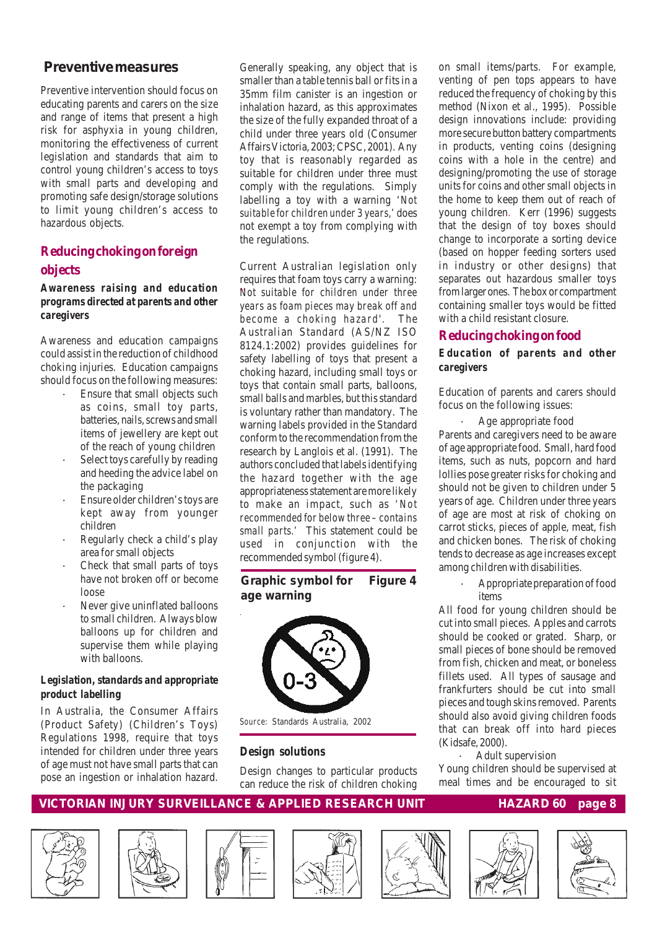#### **Preventive measures**

Preventive intervention should focus on educating parents and carers on the size and range of items that present a high risk for asphyxia in young children, monitoring the effectiveness of current legislation and standards that aim to control young children's access to toys with small parts and developing and promoting safe design/storage solutions to limit young children's access to hazardous objects.

#### **Reducing choking on foreign objects**

#### *Awareness raising and education programs directed at parents and other caregivers*

Awareness and education campaigns could assist in the reduction of childhood choking injuries. Education campaigns should focus on the following measures:

- Ensure that small objects such as coins, small toy parts, batteries, nails, screws and small items of jewellery are kept out of the reach of young children
- Select toys carefully by reading and heeding the advice label on the packaging
- Ensure older children's toys are kept away from younger children
- Regularly check a child's play area for small objects
- Check that small parts of toys have not broken off or become loose
- Never give uninflated balloons to small children. Always blow balloons up for children and supervise them while playing with balloons.

#### *Legislation, standards and appropriate product labelling*

In Australia, the Consumer Affairs (Product Safety) (Children's Toys) Regulations 1998, require that toys intended for children under three years of age must not have small parts that can pose an ingestion or inhalation hazard.

Generally speaking, any object that is smaller than a table tennis ball or fits in a 35mm film canister is an ingestion or inhalation hazard, as this approximates the size of the fully expanded throat of a child under three years old (Consumer Affairs Victoria, 2003; CPSC, 2001). Any toy that is reasonably regarded as suitable for children under three must comply with the regulations. Simply labelling a toy with a warning '*Not suitable for children under 3 years,'* does not exempt a toy from complying with the regulations.

Current Australian legislation only requires that foam toys carry a warning: Not suitable for children under three *years as foam pieces may break off and become a choking hazard'.* The Australian Standard (AS/NZ ISO 8124.1:2002) provides guidelines for safety labelling of toys that present a choking hazard, including small toys or toys that contain small parts, balloons, small balls and marbles, but this standard is voluntary rather than mandatory. The warning labels provided in the Standard conform to the recommendation from the research by Langlois et al. (1991). The authors concluded that labels identifying the hazard together with the age appropriateness statement are more likely to make an impact, such as *'Not recommended for below three – contains small parts.'* This statement could be used in conjunction with the recommended symbol (figure 4).

#### **Graphic symbol for Figure 4 age warning**



## *Design solutions*

Design changes to particular products can reduce the risk of children choking

on small items/parts. For example, venting of pen tops appears to have reduced the frequency of choking by this method (Nixon et al., 1995). Possible design innovations include: providing more secure button battery compartments in products, venting coins (designing coins with a hole in the centre) and designing/promoting the use of storage units for coins and other small objects in the home to keep them out of reach of young children. Kerr (1996) suggests that the design of toy boxes should change to incorporate a sorting device (based on hopper feeding sorters used in industry or other designs) that separates out hazardous smaller toys from larger ones. The box or compartment containing smaller toys would be fitted with a child resistant closure.

#### **Reducing choking on food**

#### *Education of parents and other caregivers*

Education of parents and carers should focus on the following issues:

Age appropriate food Parents and caregivers need to be aware of age appropriate food. Small, hard food items, such as nuts, popcorn and hard lollies pose greater risks for choking and should not be given to children under 5 years of age. Children under three years of age are most at risk of choking on carrot sticks, pieces of apple, meat, fish and chicken bones. The risk of choking tends to decrease as age increases except among children with disabilities.

> · Appropriate preparation of food items

All food for young children should be cut into small pieces. Apples and carrots should be cooked or grated. Sharp, or small pieces of bone should be removed from fish, chicken and meat, or boneless fillets used. All types of sausage and frankfurters should be cut into small pieces and tough skins removed. Parents should also avoid giving children foods that can break off into hard pieces (Kidsafe, 2000).

 · Adult supervision Young children should be supervised at meal times and be encouraged to sit













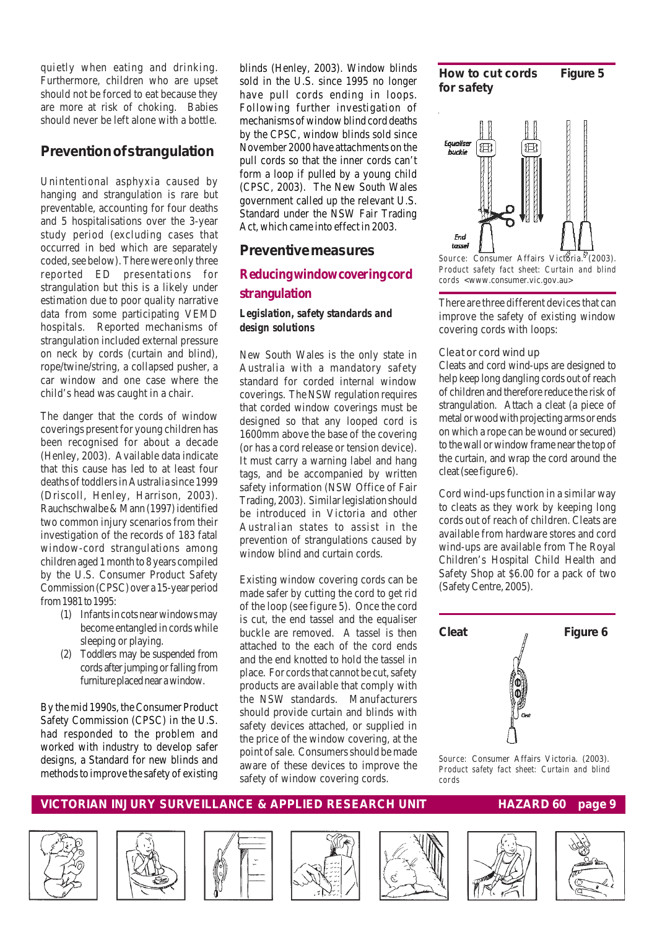quietly when eating and drinking. Furthermore, children who are upset should not be forced to eat because they are more at risk of choking. Babies should never be left alone with a bottle.

#### *Prevention of strangulation*

Unintentional asphyxia caused by hanging and strangulation is rare but preventable, accounting for four deaths and 5 hospitalisations over the 3-year study period (excluding cases that occurred in bed which are separately coded, see below). There were only three reported ED presentations for strangulation but this is a likely under estimation due to poor quality narrative data from some participating VEMD hospitals. Reported mechanisms of strangulation included external pressure on neck by cords (curtain and blind), rope/twine/string, a collapsed pusher, a car window and one case where the child's head was caught in a chair.

The danger that the cords of window coverings present for young children has been recognised for about a decade (Henley, 2003). Available data indicate that this cause has led to at least four deaths of toddlers in Australia since 1999 (Driscoll, Henley, Harrison, 2003). Rauchschwalbe & Mann (1997) identified two common injury scenarios from their investigation of the records of 183 fatal window-cord strangulations among children aged 1 month to 8 years compiled by the U.S. Consumer Product Safety Commission (CPSC) over a 15-year period from 1981 to 1995:

- (1) Infants in cots near windows may become entangled in cords while sleeping or playing.
- (2) Toddlers may be suspended from cords after jumping or falling from furniture placed near a window.

By the mid 1990s, the Consumer Product Safety Commission (CPSC) in the U.S. had responded to the problem and worked with industry to develop safer designs, a Standard for new blinds and methods to improve the safety of existing

blinds (Henley, 2003). Window blinds sold in the U.S. since 1995 no longer have pull cords ending in loops. Following further investigation of mechanisms of window blind cord deaths by the CPSC, window blinds sold since November 2000 have attachments on the pull cords so that the inner cords can't form a loop if pulled by a young child (CPSC, 2003). The New South Wales government called up the relevant U.S. Standard under the NSW Fair Trading Act, which came into effect in 2003.

#### **Preventive measures**

#### **Reducing window covering cord strangulation**

#### *Legislation, safety standards and design solutions*

New South Wales is the only state in Australia with a mandatory safety standard for corded internal window coverings. The NSW regulation requires that corded window coverings must be designed so that any looped cord is 1600mm above the base of the covering (or has a cord release or tension device). It must carry a warning label and hang tags, and be accompanied by written safety information (NSW Office of Fair Trading, 2003). Similar legislation should be introduced in Victoria and other Australian states to assist in the prevention of strangulations caused by window blind and curtain cords.

Existing window covering cords can be made safer by cutting the cord to get rid of the loop (see figure 5). Once the cord is cut, the end tassel and the equaliser buckle are removed. A tassel is then attached to the each of the cord ends and the end knotted to hold the tassel in place. For cords that cannot be cut, safety products are available that comply with the NSW standards. Manufacturers should provide curtain and blinds with safety devices attached, or supplied in the price of the window covering, at the point of sale. Consumers should be made aware of these devices to improve the safety of window covering cords.





*Source:* Consumer Affairs Victoria.<sup>8</sup> (2003). *Product safety fact sheet*: *Curtain and blind cords* <www.consumer.vic.gov.au>

There are three different devices that can improve the safety of existing window covering cords with loops:

#### Cleat or cord wind up

Cleats and cord wind-ups are designed to help keep long dangling cords out of reach of children and therefore reduce the risk of strangulation. Attach a cleat (a piece of metal or wood with projecting arms or ends on which a rope can be wound or secured) to the wall or window frame near the top of the curtain, and wrap the cord around the cleat (see figure 6).

Cord wind-ups function in a similar way to cleats as they work by keeping long cords out of reach of children. Cleats are available from hardware stores and cord wind-ups are available from The Royal Children's Hospital Child Health and Safety Shop at \$6.00 for a pack of two (Safety Centre, 2005).



*Source:* Consumer Affairs Victoria. (2003). *Product safety fact sheet: Curtain and blind cords*













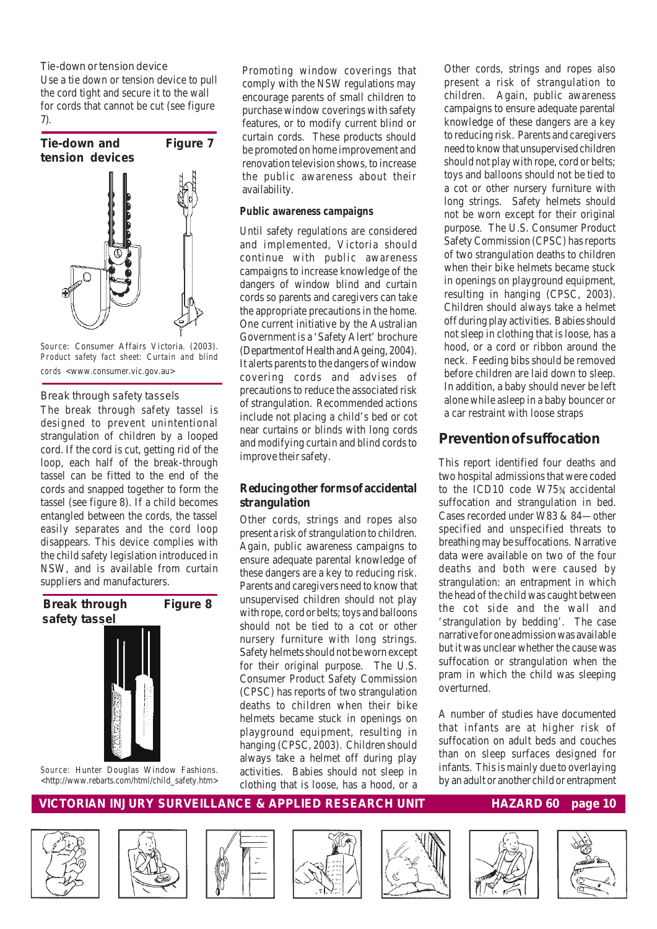Tie-down or tension device

Use a tie down or tension device to pull the cord tight and secure it to the wall for cords that cannot be cut (see figure 7).



*Source:* Consumer Affairs Victoria. (2003). *Product safety fact sheet: Curtain and blind cords* <www.consumer.vic.gov.au>

#### Break through safety tassels

The break through safety tassel is designed to prevent unintentional strangulation of children by a looped cord. If the cord is cut, getting rid of the loop, each half of the break-through tassel can be fitted to the end of the cords and snapped together to form the tassel (see figure 8). If a child becomes entangled between the cords, the tassel easily separates and the cord loop disappears. This device complies with the child safety legislation introduced in NSW, and is available from curtain suppliers and manufacturers.

#### **Break through Figure 8 safety tassel**



*Source:* Hunter Douglas Window Fashions. <http://www.rebarts.com/html/child\_safety.htm>

Promoting window coverings that comply with the NSW regulations may encourage parents of small children to purchase window coverings with safety features, or to modify current blind or curtain cords. These products should be promoted on home improvement and renovation television shows, to increase the public awareness about their availability.

#### *Public awareness campaigns*

Until safety regulations are considered and implemented, Victoria should continue with public awareness campaigns to increase knowledge of the dangers of window blind and curtain cords so parents and caregivers can take the appropriate precautions in the home. One current initiative by the Australian Government is a 'Safety Alert' brochure (Department of Health and Ageing, 2004). It alerts parents to the dangers of window covering cords and advises of precautions to reduce the associated risk of strangulation. Recommended actions include not placing a child's bed or cot near curtains or blinds with long cords and modifying curtain and blind cords to improve their safety.

#### **Reducing other forms of accidental strangulation**

Other cords, strings and ropes also present a risk of strangulation to children. Again, public awareness campaigns to ensure adequate parental knowledge of these dangers are a key to reducing risk. Parents and caregivers need to know that unsupervised children should not play with rope, cord or belts; toys and balloons should not be tied to a cot or other nursery furniture with long strings. Safety helmets should not be worn except for their original purpose. The U.S. Consumer Product Safety Commission (CPSC) has reports of two strangulation deaths to children when their bike helmets became stuck in openings on playground equipment, resulting in hanging (CPSC, 2003). Children should always take a helmet off during play activities. Babies should not sleep in clothing that is loose, has a hood, or a

Other cords, strings and ropes also present a risk of strangulation to children. Again, public awareness campaigns to ensure adequate parental knowledge of these dangers are a key to reducing risk. Parents and caregivers need to know that unsupervised children should not play with rope, cord or belts; toys and balloons should not be tied to a cot or other nursery furniture with long strings. Safety helmets should not be worn except for their original purpose. The U.S. Consumer Product Safety Commission (CPSC) has reports of two strangulation deaths to children when their bike helmets became stuck in openings on playground equipment, resulting in hanging (CPSC, 2003). Children should always take a helmet off during play activities. Babies should not sleep in clothing that is loose, has a hood, or a cord or ribbon around the neck. Feeding bibs should be removed before children are laid down to sleep. In addition, a baby should never be left alone while asleep in a baby bouncer or a car restraint with loose straps

### *Prevention of suffocation*

This report identified four deaths and two hospital admissions that were coded to the ICD10 code W75¾ accidental suffocation and strangulation in bed. Cases recorded under W83 & 84—other specified and unspecified threats to breathing may be suffocations. Narrative data were available on two of the four deaths and both were caused by strangulation: an entrapment in which the head of the child was caught between the cot side and the wall and 'strangulation by bedding'. The case narrative for one admission was available but it was unclear whether the cause was suffocation or strangulation when the pram in which the child was sleeping overturned.

A number of studies have documented that infants are at higher risk of suffocation on adult beds and couches than on sleep surfaces designed for infants. This is mainly due to overlaying by an adult or another child or entrapment













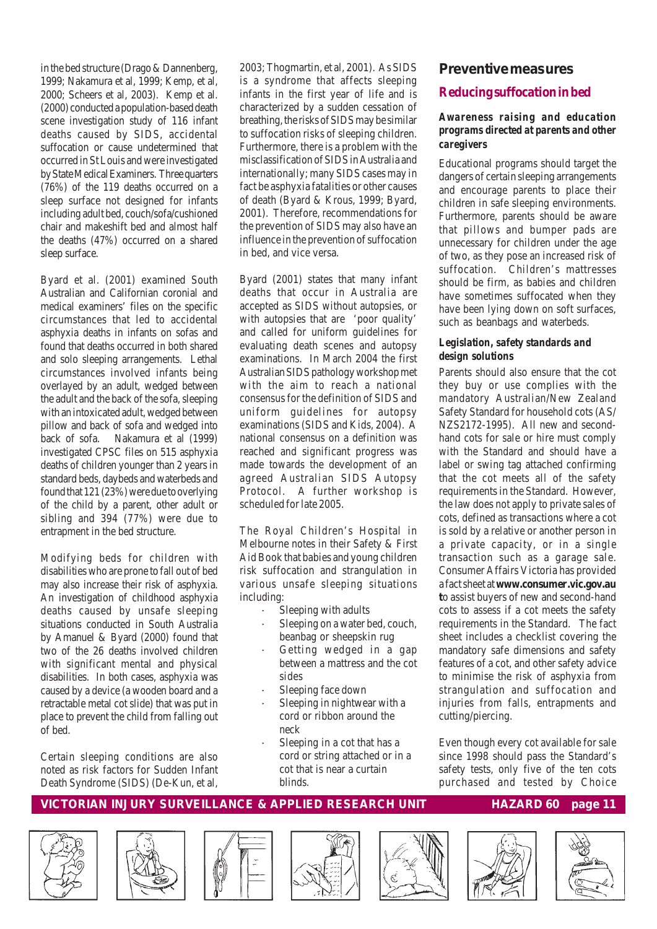in the bed structure (Drago & Dannenberg, 1999; Nakamura et al, 1999; Kemp, et al, 2000; Scheers et al, 2003). Kemp et al. (2000) conducted a population-based death scene investigation study of 116 infant deaths caused by SIDS, accidental suffocation or cause undetermined that occurred in St Louis and were investigated by State Medical Examiners. Three quarters (76%) of the 119 deaths occurred on a sleep surface not designed for infants including adult bed, couch/sofa/cushioned chair and makeshift bed and almost half the deaths (47%) occurred on a shared sleep surface.

Byard et al. (2001) examined South Australian and Californian coronial and medical examiners' files on the specific circumstances that led to accidental asphyxia deaths in infants on sofas and found that deaths occurred in both shared and solo sleeping arrangements. Lethal circumstances involved infants being overlayed by an adult, wedged between the adult and the back of the sofa, sleeping with an intoxicated adult, wedged between pillow and back of sofa and wedged into back of sofa. Nakamura et al (1999) investigated CPSC files on 515 asphyxia deaths of children younger than 2 years in standard beds, daybeds and waterbeds and found that 121 (23%) were due to overlying of the child by a parent, other adult or sibling and 394 (77%) were due to entrapment in the bed structure.

Modifying beds for children with disabilities who are prone to fall out of bed may also increase their risk of asphyxia. An investigation of childhood asphyxia deaths caused by unsafe sleeping situations conducted in South Australia by Amanuel & Byard (2000) found that two of the 26 deaths involved children with significant mental and physical disabilities. In both cases, asphyxia was caused by a device (a wooden board and a retractable metal cot slide) that was put in place to prevent the child from falling out of bed.

Certain sleeping conditions are also noted as risk factors for Sudden Infant Death Syndrome (SIDS) (De-Kun, et al,

2003; Thogmartin, et al, 2001). As SIDS is a syndrome that affects sleeping infants in the first year of life and is characterized by a sudden cessation of breathing, the risks of SIDS may be similar to suffocation risks of sleeping children. Furthermore, there is a problem with the misclassification of SIDS in Australia and internationally; many SIDS cases may in fact be asphyxia fatalities or other causes of death (Byard & Krous, 1999; Byard, 2001). Therefore, recommendations for the prevention of SIDS may also have an influence in the prevention of suffocation in bed, and vice versa.

Byard (2001) states that many infant deaths that occur in Australia are accepted as SIDS without autopsies, or with autopsies that are 'poor quality' and called for uniform guidelines for evaluating death scenes and autopsy examinations. In March 2004 the first Australian SIDS pathology workshop met with the aim to reach a national consensus for the definition of SIDS and uniform guidelines for autopsy examinations (SIDS and Kids, 2004). A national consensus on a definition was reached and significant progress was made towards the development of an agreed Australian SIDS Autopsy Protocol. A further workshop is scheduled for late 2005.

The Royal Children's Hospital in Melbourne notes in their Safety & First Aid Book that babies and young children risk suffocation and strangulation in various unsafe sleeping situations including:

- Sleeping with adults
- Sleeping on a water bed, couch, beanbag or sheepskin rug
- Getting wedged in a gap between a mattress and the cot sides
- Sleeping face down
- Sleeping in nightwear with a cord or ribbon around the neck
- Sleeping in a cot that has a cord or string attached or in a cot that is near a curtain blinds.

#### **Preventive measures**

#### **Reducing suffocation in bed**

#### *Awareness raising and education programs directed at parents and other caregivers*

Educational programs should target the dangers of certain sleeping arrangements and encourage parents to place their children in safe sleeping environments. Furthermore, parents should be aware that pillows and bumper pads are unnecessary for children under the age of two, as they pose an increased risk of suffocation. Children's mattresses should be firm, as babies and children have sometimes suffocated when they have been lying down on soft surfaces, such as beanbags and waterbeds.

#### *Legislation, safety standards and design solutions*

Parents should also ensure that the cot they buy or use complies with the mandatory Australian/New Zealand Safety Standard for household cots (AS/ NZS2172-1995). All new and secondhand cots for sale or hire must comply with the Standard and should have a label or swing tag attached confirming that the cot meets all of the safety requirements in the Standard. However, the law does not apply to private sales of cots, defined as transactions where a cot is sold by a relative or another person in a private capacity, or in a single transaction such as a garage sale. Consumer Affairs Victoria has provided a fact sheet at **www.consumer.vic.gov.au t**o assist buyers of new and second-hand cots to assess if a cot meets the safety requirements in the Standard. The fact sheet includes a checklist covering the mandatory safe dimensions and safety features of a cot, and other safety advice to minimise the risk of asphyxia from strangulation and suffocation and injuries from falls, entrapments and cutting/piercing.

Even though every cot available for sale since 1998 should pass the Standard's safety tests, only five of the ten cots purchased and tested by Choice











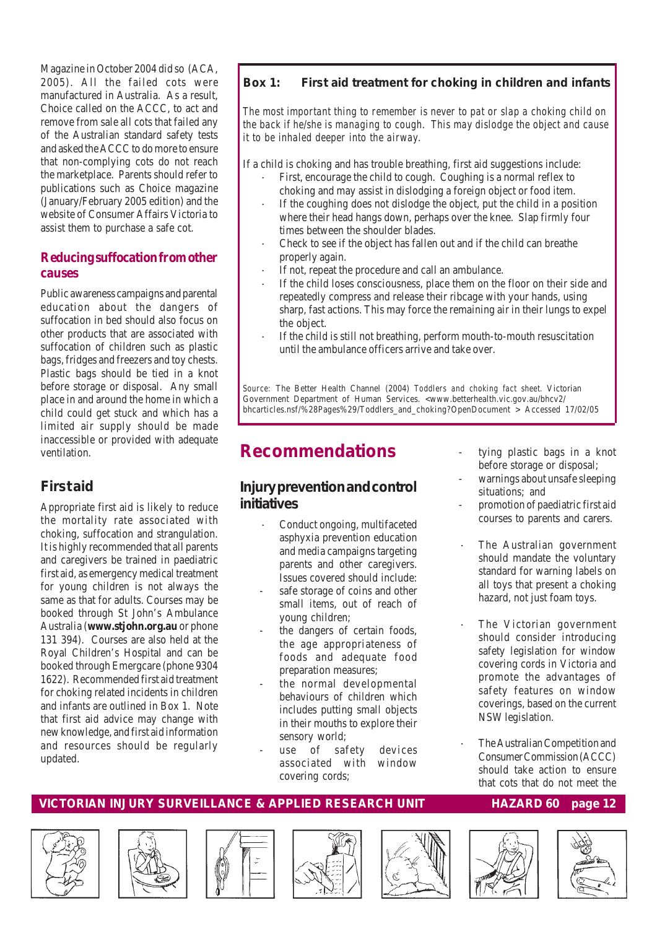Magazine in October 2004 did so (ACA, 2005). All the failed cots were manufactured in Australia. As a result, Choice called on the ACCC, to act and remove from sale all cots that failed any of the Australian standard safety tests and asked the ACCC to do more to ensure that non-complying cots do not reach the marketplace. Parents should refer to publications such as Choice magazine (January/February 2005 edition) and the website of Consumer Affairs Victoria to assist them to purchase a safe cot.

#### **Reducing suffocation from other causes**

Public awareness campaigns and parental education about the dangers of suffocation in bed should also focus on other products that are associated with suffocation of children such as plastic bags, fridges and freezers and toy chests. Plastic bags should be tied in a knot before storage or disposal. Any small place in and around the home in which a child could get stuck and which has a limited air supply should be made inaccessible or provided with adequate ventilation.

### **First aid**

Appropriate first aid is likely to reduce the mortality rate associated with choking, suffocation and strangulation. It is highly recommended that all parents and caregivers be trained in paediatric first aid, as emergency medical treatment for young children is not always the same as that for adults. Courses may be booked through St John's Ambulance Australia (**www.stjohn.org.au** or phone 131 394). Courses are also held at the Royal Children's Hospital and can be booked through Emergcare (phone 9304 1622). Recommended first aid treatment for choking related incidents in children and infants are outlined in Box 1. Note that first aid advice may change with new knowledge, and first aid information and resources should be regularly updated.

#### **Box 1: First aid treatment for choking in children and infants**

*The most important thing to remember is never to pat or slap a choking child on the back if he/she is managing to cough. This may dislodge the object and cause it to be inhaled deeper into the airway.*

If a child is choking and has trouble breathing, first aid suggestions include:

- First, encourage the child to cough. Coughing is a normal reflex to choking and may assist in dislodging a foreign object or food item.
- If the coughing does not dislodge the object, put the child in a position where their head hangs down, perhaps over the knee. Slap firmly four times between the shoulder blades.
- Check to see if the object has fallen out and if the child can breathe properly again.
- If not, repeat the procedure and call an ambulance.
- If the child loses consciousness, place them on the floor on their side and repeatedly compress and release their ribcage with your hands, using sharp, fast actions. This may force the remaining air in their lungs to expel the object.
- If the child is still not breathing, perform mouth-to-mouth resuscitation until the ambulance officers arrive and take over.

*Source:* The Better Health Channel (2004) *Toddlers and choking fact sheet.* Victorian Government Department of Human Services. <www.betterhealth.vic.gov.au/bhcv2/ bhcarticles.nsf/%28Pages%29/Toddlers\_and\_choking?OpenDocument > Accessed 17/02/05

## **Recommendations**

### *Injury prevention and control initiatives*

- Conduct ongoing, multifaceted asphyxia prevention education and media campaigns targeting parents and other caregivers. Issues covered should include:
- safe storage of coins and other small items, out of reach of young children;
- the dangers of certain foods, the age appropriateness of foods and adequate food preparation measures;
- the normal developmental behaviours of children which includes putting small objects in their mouths to explore their sensory world;
- use of safety devices associated with window covering cords;
- tying plastic bags in a knot before storage or disposal;
- warnings about unsafe sleeping situations; and
- promotion of paediatric first aid courses to parents and carers.
- The Australian government should mandate the voluntary standard for warning labels on all toys that present a choking hazard, not just foam toys.
- The Victorian government should consider introducing safety legislation for window covering cords in Victoria and promote the advantages of safety features on window coverings, based on the current NSW legislation.
- The Australian Competition and Consumer Commission (ACCC) should take action to ensure that cots that do not meet the













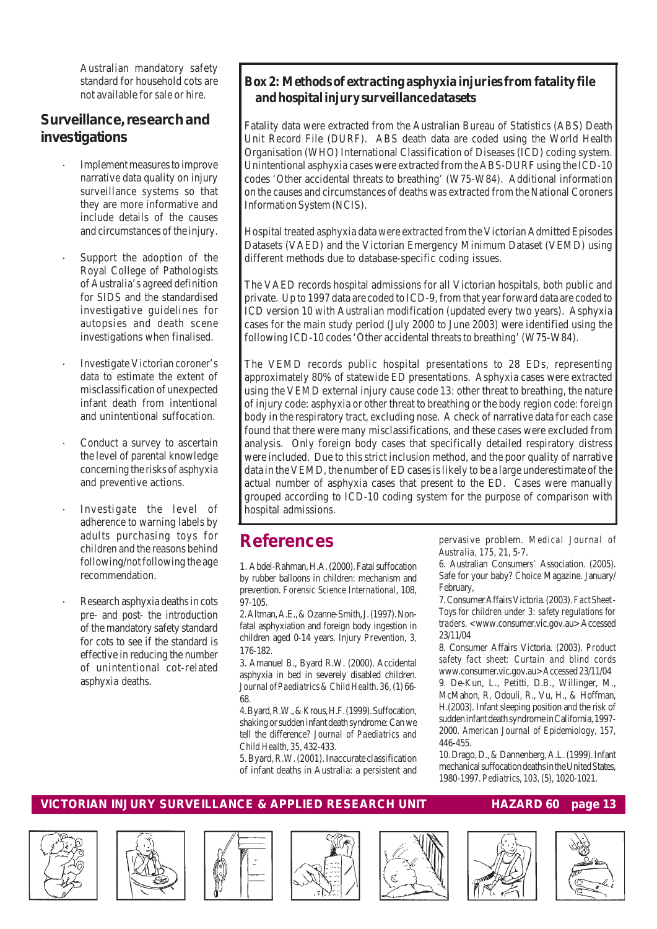Australian mandatory safety standard for household cots are not available for sale or hire.

#### *Surveillance, research and investigations*

- · Implement measures to improve narrative data quality on injury surveillance systems so that they are more informative and include details of the causes and circumstances of the injury.
- Support the adoption of the Royal College of Pathologists of Australia's agreed definition for SIDS and the standardised investigative guidelines for autopsies and death scene investigations when finalised.
- Investigate Victorian coroner's data to estimate the extent of misclassification of unexpected infant death from intentional and unintentional suffocation.
- Conduct a survey to ascertain the level of parental knowledge concerning the risks of asphyxia and preventive actions.
- Investigate the level of adherence to warning labels by adults purchasing toys for children and the reasons behind following/not following the age recommendation.
- Research asphyxia deaths in cots pre- and post- the introduction of the mandatory safety standard for cots to see if the standard is effective in reducing the number of unintentional cot-related asphyxia deaths.

#### **Box 2: Methods of extracting asphyxia injuries from fatality file and hospital injury surveillance datasets**

Fatality data were extracted from the Australian Bureau of Statistics (ABS) Death Unit Record File (DURF). ABS death data are coded using the World Health Organisation (WHO) International Classification of Diseases (ICD) coding system. Unintentional asphyxia cases were extracted from the ABS-DURF using the ICD-10 codes 'Other accidental threats to breathing' (W75-W84). Additional information on the causes and circumstances of deaths was extracted from the National Coroners Information System (NCIS).

Hospital treated asphyxia data were extracted from the Victorian Admitted Episodes Datasets (VAED) and the Victorian Emergency Minimum Dataset (VEMD) using different methods due to database-specific coding issues.

The VAED records hospital admissions for all Victorian hospitals, both public and private. Up to 1997 data are coded to ICD-9, from that year forward data are coded to ICD version 10 with Australian modification (updated every two years). Asphyxia cases for the main study period (July 2000 to June 2003) were identified using the following ICD-10 codes 'Other accidental threats to breathing' (W75-W84).

The VEMD records public hospital presentations to 28 EDs, representing approximately 80% of statewide ED presentations. Asphyxia cases were extracted using the VEMD external injury cause code 13: other threat to breathing, the nature of injury code: asphyxia or other threat to breathing or the body region code: foreign body in the respiratory tract, excluding nose. A check of narrative data for each case found that there were many misclassifications, and these cases were excluded from analysis. Only foreign body cases that specifically detailed respiratory distress were included. Due to this strict inclusion method, and the poor quality of narrative data in the VEMD, the number of ED cases is likely to be a large underestimate of the actual number of asphyxia cases that present to the ED. Cases were manually grouped according to ICD-10 coding system for the purpose of comparison with hospital admissions.

## **References**

1. Abdel-Rahman, H.A. (2000). Fatal suffocation by rubber balloons in children: mechanism and prevention. *Forensic Science International,* 108, 97-105.

2. Altman, A.E., & Ozanne-Smith, J. (1997). Nonfatal asphyxiation and foreign body ingestion in children aged 0-14 years. *Injury Prevention, 3,* 176-182.

3. Amanuel B., Byard R.W. (2000). Accidental asphyxia in bed in severely disabled children. *Journal of Paediatrics & Child Health. 36,* (1) 66- 68*.*

4. Byard, R.W., & Krous, H.F. (1999). Suffocation, shaking or sudden infant death syndrome: Can we tell the difference? *Journal of Paediatrics and Child Health, 35,* 432-433.

5. Byard, R.W. (2001). Inaccurate classification of infant deaths in Australia: a persistent and pervasive problem. *Medical Journal of Australia, 175,* 21, 5-7.

6. Australian Consumers' Association. (2005). Safe for your baby? *Choice* Magazine. January/ February,

7. Consumer Affairs Victoria. (2003). *Fact Sheet - Toys for children under 3: safety regulations for traders. <*www.consumer.vic.gov.au> Accessed 23/11/04

8. Consumer Affairs Victoria. (2003). *Product safety fact sheet: Curtain and blind cords w*ww.consumer.vic.gov.au>Accessed 23/11/04

9. De-Kun, L., Petitti, D.B., Willinger, M., McMahon, R, Odouli, R., Vu, H., & Hoffman, H.(2003). Infant sleeping position and the risk of sudden infant death syndrome in California, 1997- 2000. *American Journal of Epidemiology, 157,* 446-455.

10. Drago, D., & Dannenberg, A.L. (1999). Infant mechanical suffocation deaths in the United States, 1980-1997. *Pediatrics, 103,* (5), 1020-1021.













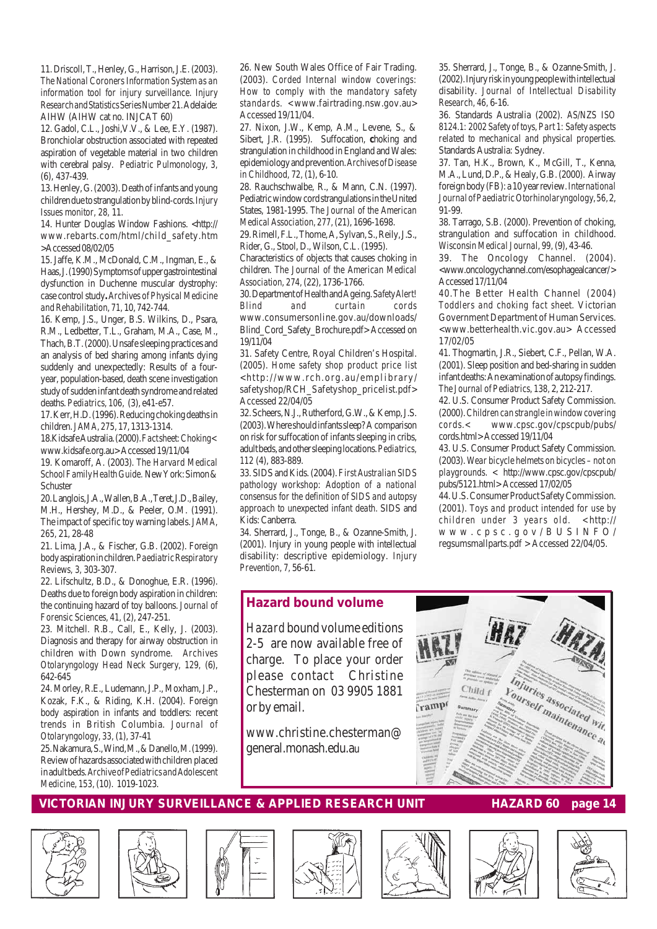11. Driscoll, T., Henley, G., Harrison, J.E. (2003). *The National Coroners Information System as an information tool for injury surveillance. Injury Research and Statistics Series Number 21.* Adelaide: AIHW (AIHW cat no. INJCAT 60)

12. Gadol, C.L., Joshi,V.V., & Lee, E.Y. (1987). Bronchiolar obstruction associated with repeated aspiration of vegetable material in two children with cerebral palsy. *Pediatric Pulmonology, 3,* (6), 437-439.

13. Henley, G. (2003). Death of infants and young children due to strangulation by blind-cords. *Injury Issues monitor, 28,* 11.

14. Hunter Douglas Window Fashions. <http:// www.rebarts.com/html/child\_safety.htm >Accessed 08/02/05

15. Jaffe, K.M., McDonald, C.M., Ingman, E., & Haas, J. (1990) Symptoms of upper gastrointestinal dysfunction in Duchenne muscular dystrophy: case control study**.** *Archives of Physical Medicine and Rehabilitation, 71,* 10, 742-744.

16. Kemp, J.S., Unger, B.S. Wilkins, D., Psara, R.M., Ledbetter, T.L., Graham, M.A., Case, M., Thach, B.T. (2000). Unsafe sleeping practices and an analysis of bed sharing among infants dying suddenly and unexpectedly: Results of a fouryear, population-based, death scene investigation study of sudden infant death syndrome and related deaths. *Pediatrics, 106,* (3), e41-e57.

17. Kerr, H.D. (1996). Reducing choking deaths in children. *JAMA, 275,* 17, 1313-1314.

18.Kidsafe Australia. (2000). *Fact sheet: Choking<* www.kidsafe.org.au> Accessed 19/11/04

19. Komaroff, A. (2003). *The Harvard Medical School Family Health Guide.* New York: Simon & Schuster

20. Langlois, J.A., Wallen, B.A., Teret, J.D., Bailey, M.H., Hershey, M.D., & Peeler, O.M. (1991). The impact of specific toy warning labels. *JAMA, 265,* 21, 28-48

21. Lima, J.A., & Fischer, G.B. (2002). Foreign body aspiration in children. *Paediatric Respiratory Reviews, 3,* 303-307.

22. Lifschultz, B.D., & Donoghue, E.R. (1996). Deaths due to foreign body aspiration in children: the continuing hazard of toy balloons. *Journal of Forensic Sciences, 41,* (2), 247-251.

23. Mitchell. R.B., Call, E., Kelly, J. (2003). Diagnosis and therapy for airway obstruction in children with Down syndrome. *Archives Otolaryngology Head Neck Surgery, 129,* (6), 642-645

24. Morley, R.E., Ludemann, J.P., Moxham, J.P., Kozak, F.K., & Riding, K.H. (2004). Foreign body aspiration in infants and toddlers: recent trends in British Columbia. *Journal of Otolaryngology, 33,* (1), 37-41

25. Nakamura, S., Wind, M., & Danello, M. (1999). Review of hazards associated with children placed in adult beds. *Archive of Pediatrics and Adolescent Medicine, 153,* (10). 1019-1023.

26. New South Wales Office of Fair Trading. (2003). *Corded Internal window coverings: How to comply with the mandatory safety standards. <*www.fairtrading.nsw.gov.au> Accessed 19/11/04.

27. Nixon, J.W., Kemp, A.M., Levene, S., & Sibert, J.R. (1995). Suffocation, **c**hoking and strangulation in childhood in England and Wales: epidemiology and prevention. *Archives of Disease in Childhood, 72,* (1), 6-10.

28. Rauchschwalbe, R., & Mann, C.N. (1997). Pediatric window cord strangulations in the United States, 1981-1995. *The Journal of the American Medical Association, 277,* (21), 1696-1698.

29. Rimell, F.L., Thome, A, Sylvan, S., Reily, J.S., Rider, G., Stool, D., Wilson, C.L. (1995).

Characteristics of objects that causes choking in children. *The Journal of the American Medical Association, 274,* (22), 1736-1766.

30. Department of Health and Ageing. *Safety Alert! Blind and curtain cords* www.consumersonline.gov.au/downloads/ Blind\_Cord\_Safety\_Brochure.pdf> Accessed on 19/11/04

31. Safety Centre, Royal Children's Hospital. (2005). *Home safety shop product price list* <http://www.rch.org.au/emplibrary/ safetyshop/RCH\_Safetyshop\_pricelist.pdf> Accessed 22/04/05

32. Scheers, N.J., Rutherford, G.W., & Kemp, J.S. (2003). Where should infants sleep? A comparison on risk for suffocation of infants sleeping in cribs, adult beds, and other sleeping locations. *Pediatrics, 112* (4), 883-889.

33. SIDS and Kids. (2004). *First Australian SIDS pathology workshop: Adoption of a national consensus for the definition of SIDS and autopsy approach to unexpected infant death.* SIDS and Kids: Canberra.

34. Sherrard, J., Tonge, B., & Ozanne-Smith, J. (2001). Injury in young people with intellectual disability: descriptive epidemiology. *Injury Prevention, 7,* 56-61.

35. Sherrard, J., Tonge, B., & Ozanne-Smith, J. (2002). Injury risk in young people with intellectual disability. *Journal of Intellectual Disability Research, 46,* 6-16.

36. Standards Australia (2002). *AS/NZS ISO 8124.1: 2002 Safety of toys, Part 1: Safety aspects related to mechanical and physical properties.* Standards Australia: Sydney.

37. Tan, H.K., Brown, K., McGill, T., Kenna, M.A., Lund, D.P., & Healy, G.B. (2000). Airway foreign body (FB): a 10 year review. *International Journal of Paediatric Otorhinolaryngology, 56,* 2, 91-99.

38. Tarrago, S.B. (2000). Prevention of choking, strangulation and suffocation in childhood. *Wisconsin Medical Journal, 99,* (9), 43-46.

39. The Oncology Channel. (2004). <www.oncologychannel.com/esophagealcancer/ > Accessed 17/11/04

40.The Better Health Channel (2004) *Toddlers and choking fact sheet.* Victorian Government Department of Human Services. <www.betterhealth.vic.gov.au> Accessed 17/02/05

41. Thogmartin, J.R., Siebert, C.F., Pellan, W.A. (2001). Sleep position and bed-sharing in sudden infant deaths: An examination of autopsy findings. *The Journal of Pediatrics, 138,* 2, 212-217.

42. U.S. Consumer Product Safety Commission. (2000). *Children can strangle in window covering cords.<* www.cpsc.gov/cpscpub/pubs/ cords.html> Accessed 19/11/04

43. U.S. Consumer Product Safety Commission. (2003). *Wear bicycle helmets on bicycles – not on playgrounds. <* http://www.cpsc.gov/cpscpub/ pubs/5121.html> Accessed 17/02/05

44. U.S. Consumer Product Safety Commission. (2001). *Toys and product intended for use by children under 3 years old. <*http:// www.cpsc.gov/BUSINFO/ regsumsmallparts.pdf > Accessed 22/04/05.

#### *Hazard* **bound volume**

*Hazard* bound volume editions 2-5 are now available free of charge. To place your order please contact Christine Chesterman on 03 9905 1881 or by email.

www.christine.chesterman@ general.monash.edu.au















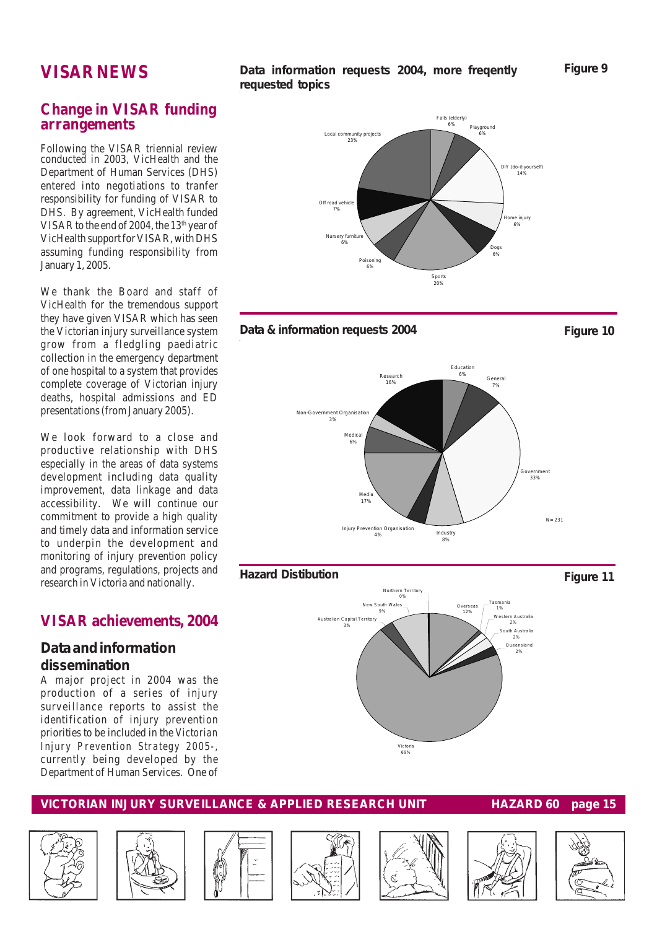## **VISAR NEWS**

#### **Data information requests 2004, more freqently requested topics**

**Figure 9**

#### **Change in VISAR funding arrangements**

Following the VISAR triennial review conducted in 2003, VicHealth and the Department of Human Services (DHS) entered into negotiations to tranfer responsibility for funding of VISAR to DHS. By agreement, VicHealth funded VISAR to the end of 2004, the  $13<sup>th</sup>$  year of VicHealth support for VISAR, with DHS assuming funding responsibility from January 1, 2005.

We thank the Board and staff of VicHealth for the tremendous support they have given VISAR which has seen the Victorian injury surveillance system grow from a fledgling paediatric collection in the emergency department of one hospital to a system that provides complete coverage of Victorian injury deaths, hospital admissions and ED presentations (from January 2005).

We look forward to a close and productive relationship with DHS especially in the areas of data systems development including data quality improvement, data linkage and data accessibility. We will continue our commitment to provide a high quality and timely data and information service to underpin the development and monitoring of injury prevention policy and programs, regulations, projects and research in Victoria and nationally.

#### **VISAR achievements, 2004**

#### **Data and information dissemination**

A major project in 2004 was the production of a series of injury surveillance reports to assist the identification of injury prevention priorities to be included in the *Victorian Injury Prevention Strategy 2005-,* currently being developed by the Department of Human Services. One of





















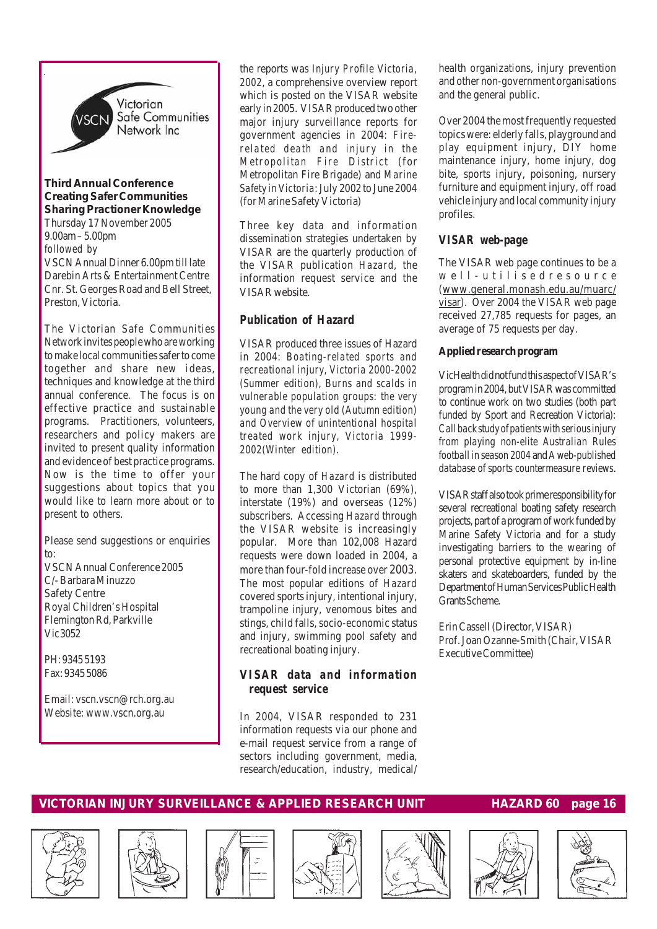

#### *Third Annual Conference Creating Safer Communities Sharing Practioner Knowledge*

Thursday 17 November 2005 9.00am – 5.00pm *followed by* VSCN Annual Dinner 6.00pm till late Darebin Arts & Entertainment Centre Cnr. St. Georges Road and Bell Street, Preston, Victoria.

The Victorian Safe Communities Network invites people who are working to make local communities safer to come together and share new ideas, techniques and knowledge at the third annual conference. The focus is on effective practice and sustainable programs. Practitioners, volunteers, researchers and policy makers are invited to present quality information and evidence of best practice programs. Now is the time to offer your suggestions about topics that you would like to learn more about or to present to others.

Please send suggestions or enquiries to: VSCN Annual Conference 2005

C/- Barbara Minuzzo Safety Centre Royal Children's Hospital Flemington Rd, Parkville Vic 3052

PH: 9345 5193 Fax: 9345 5086

Email: vscn.vscn@rch.org.au Website: www.vscn.org.au

the reports was *Injury Profile Victoria, 2002*, a comprehensive overview report which is posted on the VISAR website early in 2005. VISAR produced two other major injury surveillance reports for government agencies in 2004: *Firerelated death and injury in the Metropolitan Fire District* (for Metropolitan Fire Brigade) and *Marine Safety in Victoria*: July 2002 to June 2004 (for Marine Safety Victoria)

Three key data and information dissemination strategies undertaken by VISAR are the quarterly production of the VISAR publication *Hazard,* the information request service and the VISAR website.

#### *Publication of Hazard*

VISAR produced three issues of Hazard in 2004: *Boating-related sports and recreational injury, Victoria 2000-2002 (Summer edition), Burns and scalds in vulnerable population groups: the very young and the very old (Autumn edition) and Overview of unintentional hospital treated work injury, Victoria 1999- 2002(Winter edition)*.

The hard copy of *Hazard* is distributed to more than 1,300 Victorian (69%), interstate (19%) and overseas (12%) subscribers. Accessing *Hazard* through the VISAR website is increasingly popular. More than 102,008 Hazard requests were down loaded in 2004, a more than four-fold increase over 2003. The most popular editions of *Hazard* covered sports injury, intentional injury, trampoline injury, venomous bites and stings, child falls, socio-economic status and injury, swimming pool safety and recreational boating injury.

#### *VISAR data and information request service*

In 2004, VISAR responded to 231 information requests via our phone and e-mail request service from a range of sectors including government, media, research/education, industry, medical/

health organizations, injury prevention and other non-government organisations and the general public.

Over 2004 the most frequently requested topics were: elderly falls, playground and play equipment injury, DIY home maintenance injury, home injury, dog bite, sports injury, poisoning, nursery furniture and equipment injury, off road vehicle injury and local community injury profiles.

#### *VISAR web-page*

The VISAR web page continues to be a well-utilisedresource (www.general.monash.edu.au/muarc/ visar). Over 2004 the VISAR web page received 27,785 requests for pages, an average of 75 requests per day.

#### **Applied research program**

VicHealth did not fund this aspect of VISAR's program in 2004, but VISAR was committed to continue work on two studies (both part funded by Sport and Recreation Victoria): *Call back studyof patients with serious injury from playing non-elite Australian Rules football in season 2004* and *A web-published database of sports countermeasure reviews*.

VISAR staff also took prime responsibility for several recreational boating safety research projects, part of a program of work funded by Marine Safety Victoria and for a study investigating barriers to the wearing of personal protective equipment by in-line skaters and skateboarders, funded by the Department of Human Services Public Health Grants Scheme.

Erin Cassell (Director, VISAR) Prof. Joan Ozanne-Smith (Chair, VISAR Executive Committee)















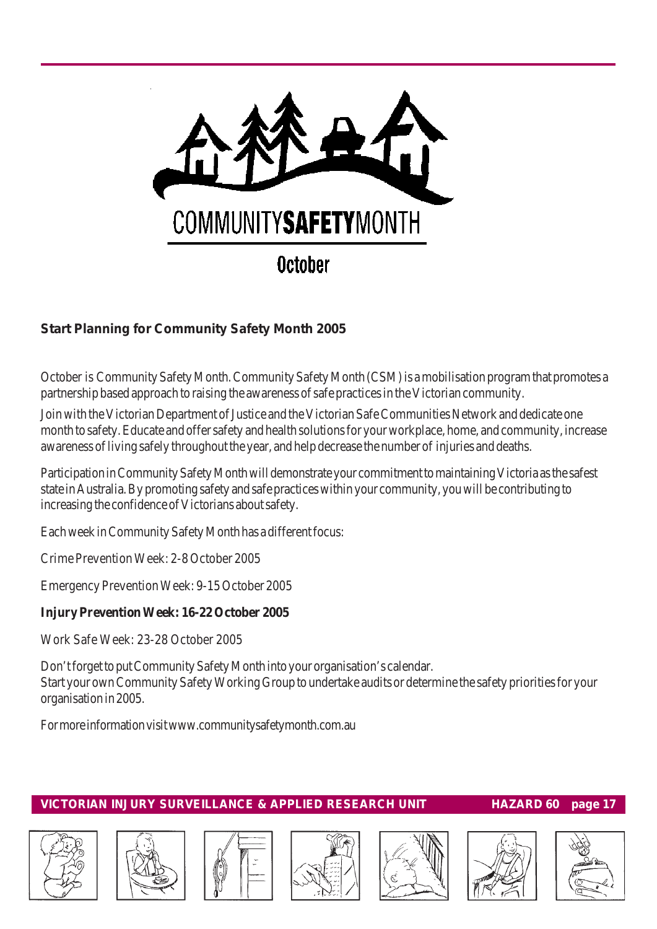

## **Start Planning for Community Safety Month 2005**

October is Community Safety Month. Community Safety Month (CSM) is a mobilisation program that promotes a partnership based approach to raising the awareness of safe practices in the Victorian community.

Join with the Victorian Department of Justice and the Victorian Safe Communities Network and dedicate one month to safety. Educate and offer safety and health solutions for your workplace, home, and community, increase awareness of living safely throughout the year, and help decrease the number of injuries and deaths.

Participation in Community Safety Month will demonstrate your commitment to maintaining Victoria as the safest state in Australia. By promoting safety and safe practices within your community, you will be contributing to increasing the confidence of Victorians about safety.

Each week in Community Safety Month has a different focus:

Crime Prevention Week: 2-8 October 2005

Emergency Prevention Week: 9-15 October 2005

#### **Injury Prevention Week: 16-22 October 2005**

Work Safe Week: 23-28 October 2005

Don't forget to put Community Safety Month into your organisation's calendar. Start your own Community Safety Working Group to undertake audits or determine the safety priorities for your organisation in 2005.

For more information visit www.communitysafetymonth.com.au











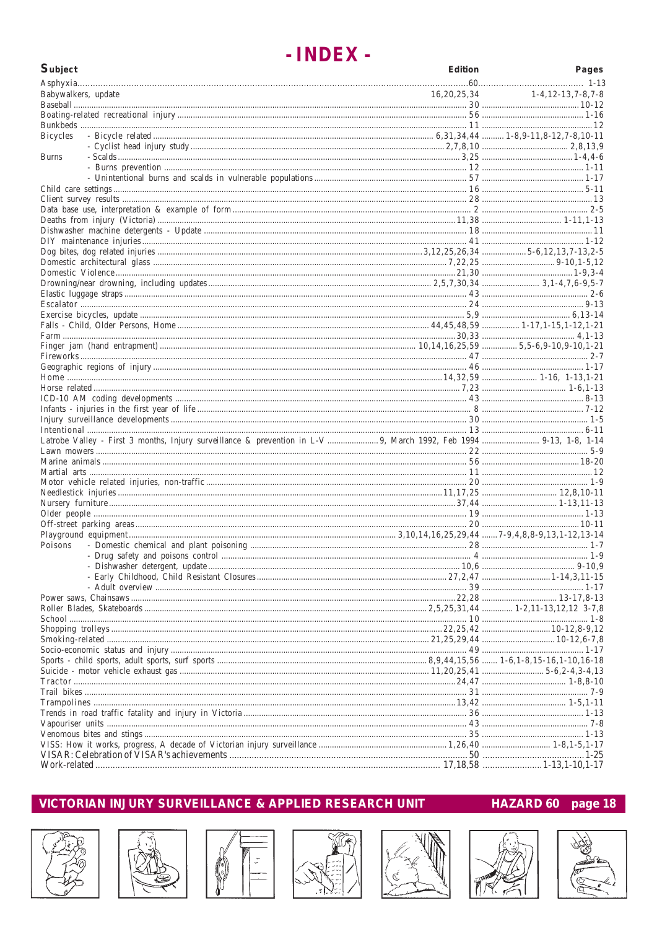## - INDEX -

| <b>Subject</b>      |                                                                                                                    | <b>Edition</b> | Pages                             |
|---------------------|--------------------------------------------------------------------------------------------------------------------|----------------|-----------------------------------|
|                     |                                                                                                                    |                |                                   |
| Babywalkers, update |                                                                                                                    |                | $16,20,25,34$ $1-4,12-13,7-8,7-8$ |
|                     |                                                                                                                    |                |                                   |
|                     |                                                                                                                    |                |                                   |
|                     |                                                                                                                    |                |                                   |
| Bicycles            |                                                                                                                    |                |                                   |
| <b>Burns</b>        |                                                                                                                    |                |                                   |
|                     |                                                                                                                    |                |                                   |
|                     |                                                                                                                    |                |                                   |
|                     |                                                                                                                    |                |                                   |
|                     |                                                                                                                    |                |                                   |
|                     |                                                                                                                    |                |                                   |
|                     |                                                                                                                    |                |                                   |
|                     |                                                                                                                    |                |                                   |
|                     |                                                                                                                    |                |                                   |
|                     |                                                                                                                    |                |                                   |
|                     |                                                                                                                    |                |                                   |
|                     |                                                                                                                    |                |                                   |
|                     |                                                                                                                    |                |                                   |
|                     |                                                                                                                    |                |                                   |
|                     |                                                                                                                    |                |                                   |
|                     |                                                                                                                    |                |                                   |
|                     |                                                                                                                    |                |                                   |
|                     |                                                                                                                    |                |                                   |
|                     |                                                                                                                    |                |                                   |
|                     |                                                                                                                    |                |                                   |
|                     |                                                                                                                    |                |                                   |
|                     |                                                                                                                    |                |                                   |
|                     |                                                                                                                    |                |                                   |
|                     |                                                                                                                    |                |                                   |
|                     |                                                                                                                    |                |                                   |
|                     |                                                                                                                    |                |                                   |
|                     | Latrobe Valley - First 3 months, Injury surveillance & prevention in L-V  9, March 1992, Feb 1994  9-13, 1-8, 1-14 |                |                                   |
|                     |                                                                                                                    |                |                                   |
|                     |                                                                                                                    |                |                                   |
|                     |                                                                                                                    |                |                                   |
|                     |                                                                                                                    |                |                                   |
|                     |                                                                                                                    |                |                                   |
|                     |                                                                                                                    |                |                                   |
|                     |                                                                                                                    |                |                                   |
|                     |                                                                                                                    |                |                                   |
| Poisons             |                                                                                                                    |                |                                   |
|                     |                                                                                                                    |                |                                   |
|                     |                                                                                                                    |                |                                   |
|                     |                                                                                                                    |                |                                   |
|                     |                                                                                                                    |                |                                   |
|                     |                                                                                                                    |                |                                   |
|                     |                                                                                                                    |                |                                   |
|                     |                                                                                                                    |                |                                   |
|                     |                                                                                                                    |                |                                   |
|                     |                                                                                                                    |                |                                   |
|                     |                                                                                                                    |                |                                   |
|                     |                                                                                                                    |                |                                   |
|                     |                                                                                                                    |                |                                   |
|                     |                                                                                                                    |                |                                   |
|                     |                                                                                                                    |                |                                   |
|                     |                                                                                                                    |                |                                   |
|                     |                                                                                                                    |                |                                   |
|                     |                                                                                                                    |                |                                   |
|                     |                                                                                                                    |                |                                   |
|                     |                                                                                                                    |                |                                   |
|                     |                                                                                                                    |                |                                   |

#### VICTORIAN INJURY SURVEILLANCE & APPLIED RESEARCH UNIT

#### HAZARD 60 page 18













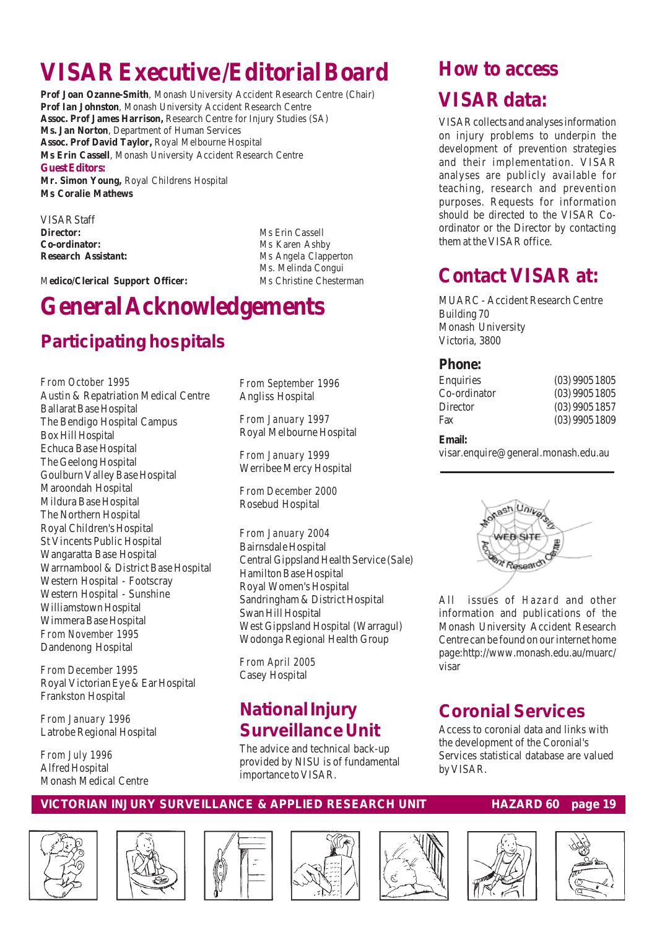# **VISAR Executive /Editorial Board**

**Prof Joan Ozanne-Smith**, Monash University Accident Research Centre (Chair) **Prof Ian Johnston**, Monash University Accident Research Centre **Assoc. Prof James Harrison,** Research Centre for Injury Studies (SA) **Ms. Jan Norton**, Department of Human Services **Assoc. Prof David Taylor,** Royal Melbourne Hospital **Ms Erin Cassell**, Monash University Accident Research Centre **Guest Editors:**

**Mr. Simon Young,** Royal Childrens Hospital **Ms Coralie Mathews**

VISAR Staff **Director:** Ms Erin Cassell **Co-ordinator:** Ms Karen Ashby

**Research Assistant:** Ms Angela Clapperton Ms. Melinda Congui

M**edico/Clerical Support Officer:** Ms Christine Chesterman

# **General Acknowledgements**

## **Participating hospitals**

*From October 1995* Austin & Repatriation Medical Centre Ballarat Base Hospital The Bendigo Hospital Campus Box Hill Hospital Echuca Base Hospital The Geelong Hospital Goulburn Valley Base Hospital Maroondah Hospital Mildura Base Hospital The Northern Hospital Royal Children's Hospital St Vincents Public Hospital Wangaratta Base Hospital Warrnambool & District Base Hospital Western Hospital - Footscray Western Hospital - Sunshine Williamstown Hospital Wimmera Base Hospital *From November 1995* Dandenong Hospital

*From December 1995* Royal Victorian Eye & Ear Hospital Frankston Hospital

*From January 1996* Latrobe Regional Hospital

*From July 1996* Alfred Hospital Monash Medical Centre *From September 1996* Angliss Hospital

*From January 1997* Royal Melbourne Hospital

*From January 1999* Werribee Mercy Hospital

*From December 2000* Rosebud Hospital

*From January 2004* Bairnsdale Hospital Central Gippsland Health Service (Sale) Hamilton Base Hospital Royal Women's Hospital Sandringham & District Hospital Swan Hill Hospital West Gippsland Hospital (Warragul) Wodonga Regional Health Group

*From April 2005* Casey Hospital

## **National Injury Surveillance Unit**

The advice and technical back-up provided by NISU is of fundamental importance to VISAR.

# **How to access**

## **VISAR data:**

VISAR collects and analyses information on injury problems to underpin the development of prevention strategies and their implementation. VISAR analyses are publicly available for teaching, research and prevention purposes. Requests for information should be directed to the VISAR Coordinator or the Director by contacting them at the VISAR office.

## **Contact VISAR at:**

MUARC - Accident Research Centre Building 70 Monash University Victoria, 3800

#### **Phone:**

| Enquiries    | $(03)$ 9905 1805 |
|--------------|------------------|
| Co-ordinator | $(03)$ 9905 1805 |
| Director     | (03)99051857     |
| Fax          | (03)99051809     |
|              |                  |

#### **Email:**

visar.enquire@general.monash.edu.au



All issues of *Hazard* and other information and publications of the Monash University Accident Research Centre can be found on our internet home page:http://www.monash.edu.au/muarc/ visar

## **Coronial Services**

Access to coronial data and links with the development of the Coronial's Services statistical database are valued by VISAR.